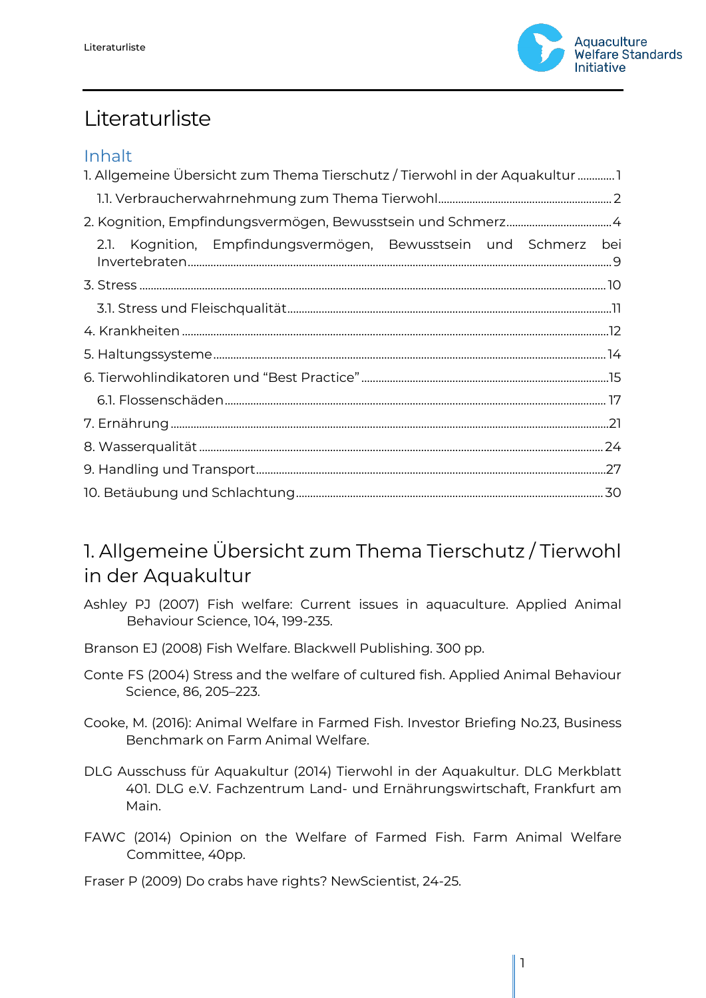

# Literaturliste

#### Inhalt

| 1. Allgemeine Übersicht zum Thema Tierschutz / Tierwohl in der Aquakultur |  |
|---------------------------------------------------------------------------|--|
|                                                                           |  |
|                                                                           |  |
| Kognition, Empfindungsvermögen, Bewusstsein und Schmerz bei<br>2.1.       |  |
|                                                                           |  |
|                                                                           |  |
|                                                                           |  |
|                                                                           |  |
|                                                                           |  |
|                                                                           |  |
|                                                                           |  |
|                                                                           |  |
|                                                                           |  |
|                                                                           |  |

# <span id="page-0-0"></span>1. Allgemeine Übersicht zum Thema Tierschutz / Tierwohl in der Aquakultur

- Ashley PJ (2007) Fish welfare: Current issues in aquaculture. Applied Animal Behaviour Science, 104, 199-235.
- Branson EJ (2008) Fish Welfare. Blackwell Publishing. 300 pp.
- Conte FS (2004) Stress and the welfare of cultured fish. Applied Animal Behaviour Science, 86, 205–223.
- Cooke, M. (2016): Animal Welfare in Farmed Fish. Investor Briefing No.23, Business Benchmark on Farm Animal Welfare.
- DLG Ausschuss für Aquakultur (2014) Tierwohl in der Aquakultur. DLG Merkblatt 401. DLG e.V. Fachzentrum Land- und Ernährungswirtschaft, Frankfurt am Main.
- FAWC (2014) Opinion on the Welfare of Farmed Fish. Farm Animal Welfare Committee, 40pp.

Fraser P (2009) Do crabs have rights? NewScientist, 24-25.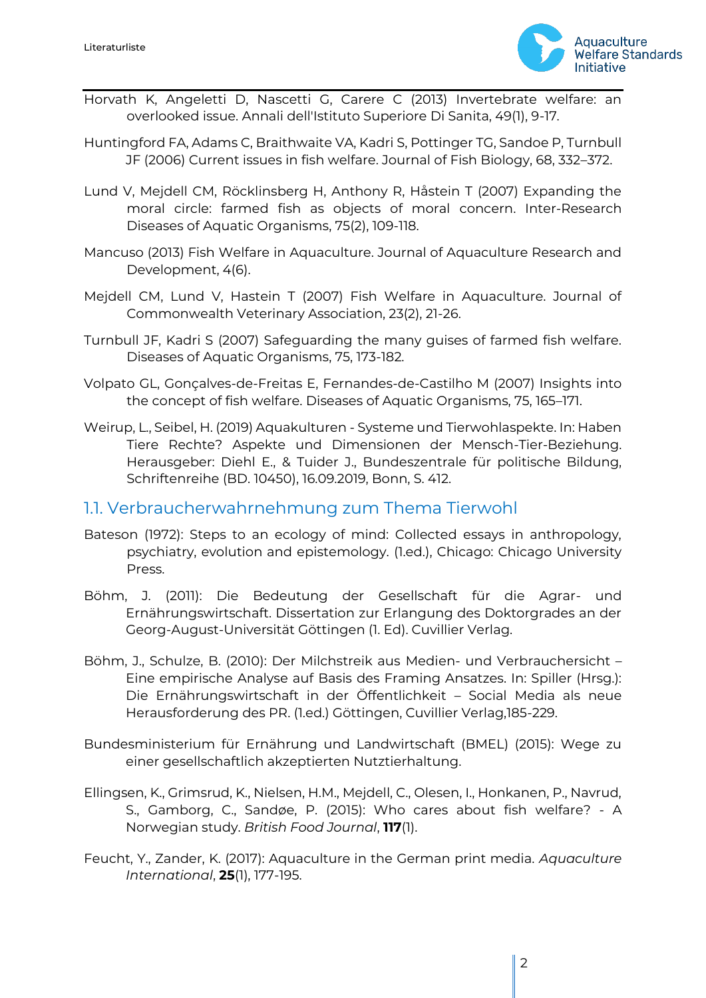

- Horvath K, Angeletti D, Nascetti G, Carere C (2013) Invertebrate welfare: an overlooked issue. Annali dell'Istituto Superiore Di Sanita, 49(1), 9-17.
- Huntingford FA, Adams C, Braithwaite VA, Kadri S, Pottinger TG, Sandoe P, Turnbull JF (2006) Current issues in fish welfare. Journal of Fish Biology, 68, 332–372.
- Lund V, Mejdell CM, Röcklinsberg H, Anthony R, Håstein T (2007) Expanding the moral circle: farmed fish as objects of moral concern. Inter-Research Diseases of Aquatic Organisms, 75(2), 109-118.
- Mancuso (2013) Fish Welfare in Aquaculture. Journal of Aquaculture Research and Development, 4(6).
- Mejdell CM, Lund V, Hastein T (2007) Fish Welfare in Aquaculture. Journal of Commonwealth Veterinary Association, 23(2), 21-26.
- Turnbull JF, Kadri S (2007) Safeguarding the many guises of farmed fish welfare. Diseases of Aquatic Organisms, 75, 173-182.
- Volpato GL, Gonçalves-de-Freitas E, Fernandes-de-Castilho M (2007) Insights into the concept of fish welfare. Diseases of Aquatic Organisms, 75, 165–171.
- Weirup, L., Seibel, H. (2019) Aquakulturen Systeme und Tierwohlaspekte. In: Haben Tiere Rechte? Aspekte und Dimensionen der Mensch-Tier-Beziehung. Herausgeber: Diehl E., & Tuider J., Bundeszentrale für politische Bildung, Schriftenreihe (BD. 10450), 16.09.2019, Bonn, S. 412.

#### <span id="page-1-0"></span>1.1. Verbraucherwahrnehmung zum Thema Tierwohl

- Bateson (1972): Steps to an ecology of mind: Collected essays in anthropology, psychiatry, evolution and epistemology. (1.ed.), Chicago: Chicago University Press.
- Böhm, J. (2011): Die Bedeutung der Gesellschaft für die Agrar- und Ernährungswirtschaft. Dissertation zur Erlangung des Doktorgrades an der Georg-August-Universität Göttingen (1. Ed). Cuvillier Verlag.
- Böhm, J., Schulze, B. (2010): Der Milchstreik aus Medien- und Verbrauchersicht Eine empirische Analyse auf Basis des Framing Ansatzes. In: Spiller (Hrsg.): Die Ernährungswirtschaft in der Öffentlichkeit – Social Media als neue Herausforderung des PR. (1.ed.) Göttingen, Cuvillier Verlag,185-229.
- Bundesministerium für Ernährung und Landwirtschaft (BMEL) (2015): Wege zu einer gesellschaftlich akzeptierten Nutztierhaltung.
- Ellingsen, K., Grimsrud, K., Nielsen, H.M., Mejdell, C., Olesen, I., Honkanen, P., Navrud, S., Gamborg, C., Sandøe, P. (2015): Who cares about fish welfare? - A Norwegian study. *British Food Journal*, **117**(1).
- Feucht, Y., Zander, K. (2017): Aquaculture in the German print media. *Aquaculture International*, **25**(1), 177-195.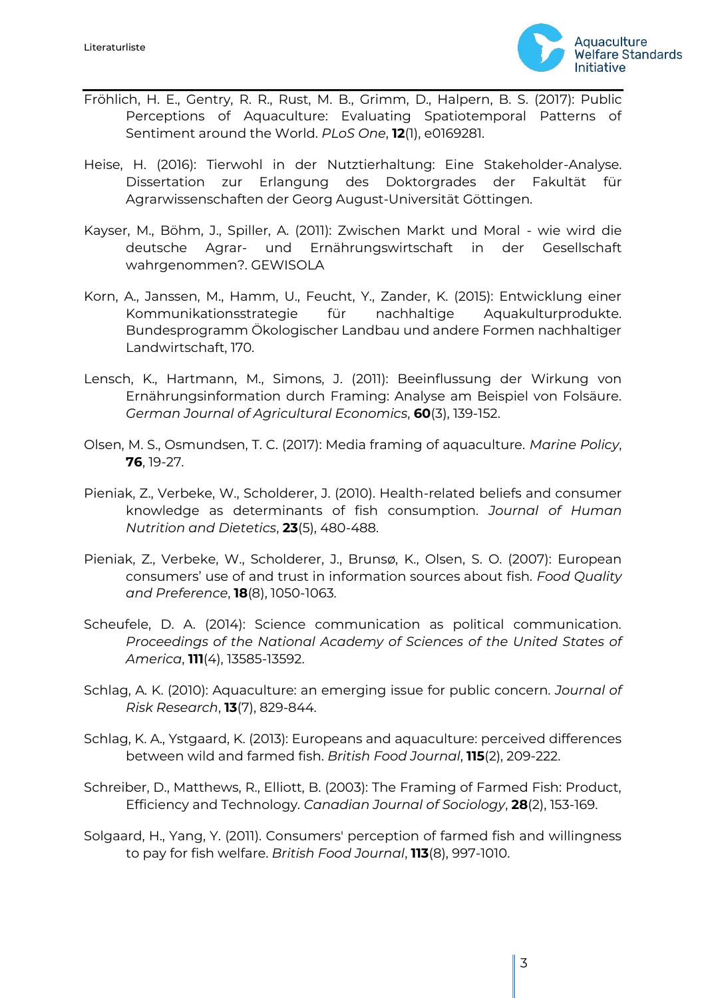

- Fröhlich, H. E., Gentry, R. R., Rust, M. B., Grimm, D., Halpern, B. S. (2017): Public Perceptions of Aquaculture: Evaluating Spatiotemporal Patterns of Sentiment around the World. *PLoS One*, **12**(1), e0169281.
- Heise, H. (2016): Tierwohl in der Nutztierhaltung: Eine Stakeholder-Analyse. Dissertation zur Erlangung des Doktorgrades der Fakultät für Agrarwissenschaften der Georg August-Universität Göttingen.
- Kayser, M., Böhm, J., Spiller, A. (2011): Zwischen Markt und Moral wie wird die deutsche Agrar- und Ernährungswirtschaft in der Gesellschaft wahrgenommen?. GEWISOLA
- Korn, A., Janssen, M., Hamm, U., Feucht, Y., Zander, K. (2015): Entwicklung einer Kommunikationsstrategie für nachhaltige Aquakulturprodukte. Bundesprogramm Ökologischer Landbau und andere Formen nachhaltiger Landwirtschaft, 170.
- Lensch, K., Hartmann, M., Simons, J. (2011): Beeinflussung der Wirkung von Ernährungsinformation durch Framing: Analyse am Beispiel von Folsäure. *German Journal of Agricultural Economics*, **60**(3), 139-152.
- Olsen, M. S., Osmundsen, T. C. (2017): Media framing of aquaculture. *Marine Policy*, **76**, 19-27.
- Pieniak, Z., Verbeke, W., Scholderer, J. (2010). Health-related beliefs and consumer knowledge as determinants of fish consumption. *Journal of Human Nutrition and Dietetics*, **23**(5), 480-488.
- Pieniak, Z., Verbeke, W., Scholderer, J., Brunsø, K., Olsen, S. O. (2007): European consumers' use of and trust in information sources about fish. *Food Quality and Preference*, **18**(8), 1050-1063.
- Scheufele, D. A. (2014): Science communication as political communication. *Proceedings of the National Academy of Sciences of the United States of America*, **111**(4), 13585-13592.
- Schlag, A. K. (2010): Aquaculture: an emerging issue for public concern. *Journal of Risk Research*, **13**(7), 829-844.
- Schlag, K. A., Ystgaard, K. (2013): Europeans and aquaculture: perceived differences between wild and farmed fish. *British Food Journal*, **115**(2), 209-222.
- Schreiber, D., Matthews, R., Elliott, B. (2003): The Framing of Farmed Fish: Product, Efficiency and Technology. *Canadian Journal of Sociology*, **28**(2), 153-169.
- Solgaard, H., Yang, Y. (2011). Consumers' perception of farmed fish and willingness to pay for fish welfare. *British Food Journal*, **113**(8), 997-1010.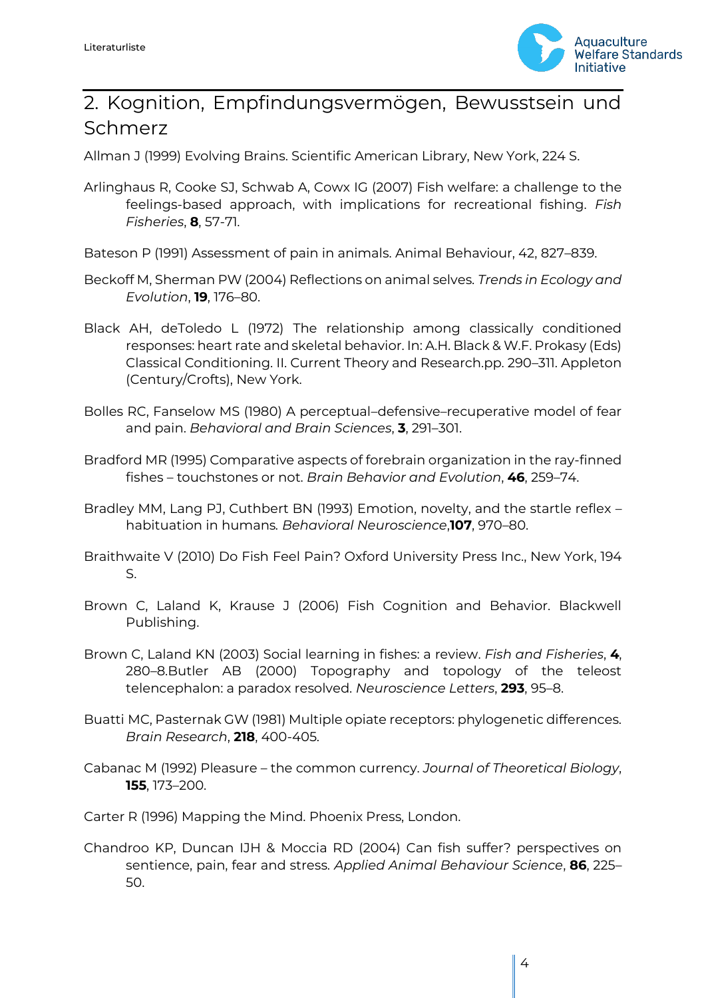

# <span id="page-3-0"></span>2. Kognition, Empfindungsvermögen, Bewusstsein und Schmerz

Allman J (1999) Evolving Brains. Scientific American Library, New York, 224 S.

- Arlinghaus R, Cooke SJ, Schwab A, Cowx IG (2007) Fish welfare: a challenge to the feelings-based approach, with implications for recreational fishing. *Fish Fisheries*, **8**, 57-71.
- Bateson P (1991) Assessment of pain in animals. Animal Behaviour, 42, 827–839.
- Beckoff M, Sherman PW (2004) Reflections on animal selves. *Trends in Ecology and Evolution*, **19**, 176–80.
- Black AH, deToledo L (1972) The relationship among classically conditioned responses: heart rate and skeletal behavior. In: A.H. Black & W.F. Prokasy (Eds) Classical Conditioning. II. Current Theory and Research.pp. 290–311. Appleton (Century/Crofts), New York.
- Bolles RC, Fanselow MS (1980) A perceptual–defensive–recuperative model of fear and pain. *Behavioral and Brain Sciences*, **3**, 291–301.
- Bradford MR (1995) Comparative aspects of forebrain organization in the ray-finned fishes – touchstones or not. *Brain Behavior and Evolution*, **46**, 259–74.
- Bradley MM, Lang PJ, Cuthbert BN (1993) Emotion, novelty, and the startle reflex habituation in humans*. Behavioral Neuroscience*,**107**, 970–80.
- Braithwaite V (2010) Do Fish Feel Pain? Oxford University Press Inc., New York, 194 S.
- Brown C, Laland K, Krause J (2006) Fish Cognition and Behavior. Blackwell Publishing.
- Brown C, Laland KN (2003) Social learning in fishes: a review. *Fish and Fisheries*, **4**, 280–8.Butler AB (2000) Topography and topology of the teleost telencephalon: a paradox resolved. *Neuroscience Letters*, **293**, 95–8.
- Buatti MC, Pasternak GW (1981) Multiple opiate receptors: phylogenetic differences. *Brain Research*, **218**, 400-405.
- Cabanac M (1992) Pleasure the common currency. *Journal of Theoretical Biology*, **155**, 173–200.
- Carter R (1996) Mapping the Mind. Phoenix Press, London.
- Chandroo KP, Duncan IJH & Moccia RD (2004) Can fish suffer? perspectives on sentience, pain, fear and stress. *Applied Animal Behaviour Science*, **86**, 225– 50.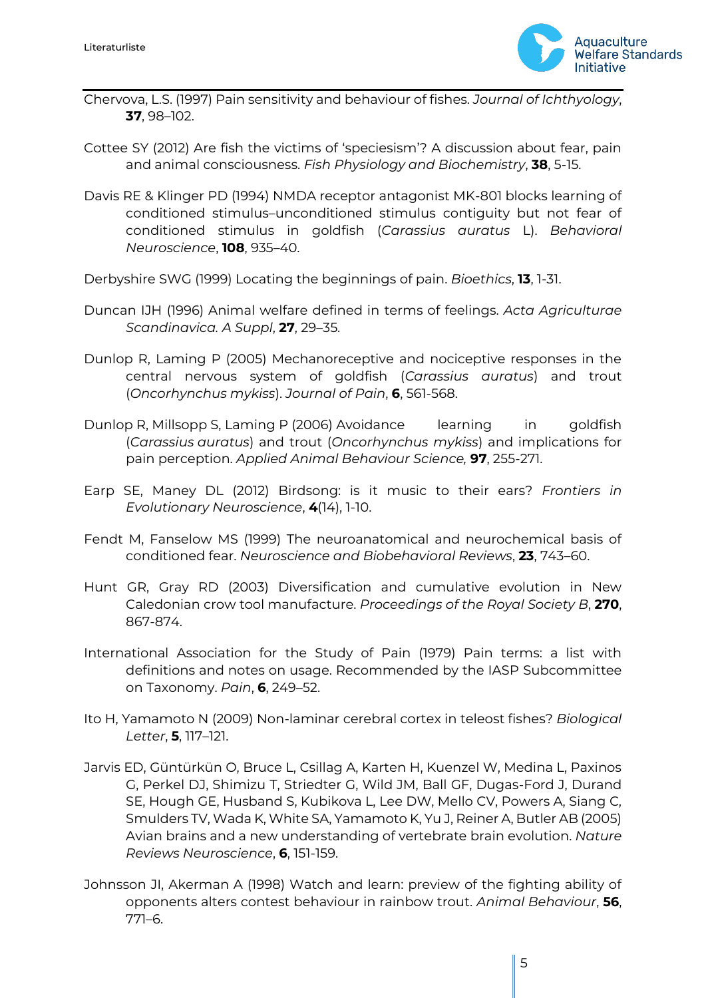

- Chervova, L.S. (1997) Pain sensitivity and behaviour of fishes. *Journal of Ichthyology*, **37**, 98–102.
- Cottee SY (2012) Are fish the victims of 'speciesism'? A discussion about fear, pain and animal consciousness. *Fish Physiology and Biochemistry*, **38**, 5-15.
- Davis RE & Klinger PD (1994) NMDA receptor antagonist MK-801 blocks learning of conditioned stimulus–unconditioned stimulus contiguity but not fear of conditioned stimulus in goldfish (*Carassius auratus* L). *Behavioral Neuroscience*, **108**, 935–40.
- Derbyshire SWG (1999) Locating the beginnings of pain. *Bioethics*, **13**, 1-31.
- Duncan IJH (1996) Animal welfare defined in terms of feelings. *Acta Agriculturae Scandinavica. A Suppl*, **27**, 29–35.
- Dunlop R, Laming P (2005) Mechanoreceptive and nociceptive responses in the central nervous system of goldfish (*Carassius auratus*) and trout (*Oncorhynchus mykiss*). *Journal of Pain*, **6**, 561-568.
- Dunlop R, Millsopp S, Laming P (2006) Avoidance learning in goldfish (*Carassius auratus*) and trout (*Oncorhynchus mykiss*) and implications for pain perception. *Applied Animal Behaviour Science,* **97**, 255-271.
- Earp SE, Maney DL (2012) Birdsong: is it music to their ears? *Frontiers in Evolutionary Neuroscience*, **4**(14), 1-10.
- Fendt M, Fanselow MS (1999) The neuroanatomical and neurochemical basis of conditioned fear. *Neuroscience and Biobehavioral Reviews*, **23**, 743–60.
- Hunt GR, Gray RD (2003) Diversification and cumulative evolution in New Caledonian crow tool manufacture. *Proceedings of the Royal Society B*, **270**, 867-874.
- International Association for the Study of Pain (1979) Pain terms: a list with definitions and notes on usage. Recommended by the IASP Subcommittee on Taxonomy. *Pain*, **6**, 249–52.
- Ito H, Yamamoto N (2009) Non-laminar cerebral cortex in teleost fishes? *Biological Letter*, **5**, 117–121.
- Jarvis ED, Güntürkün O, Bruce L, Csillag A, Karten H, Kuenzel W, Medina L, Paxinos G, Perkel DJ, Shimizu T, Striedter G, Wild JM, Ball GF, Dugas-Ford J, Durand SE, Hough GE, Husband S, Kubikova L, Lee DW, Mello CV, Powers A, Siang C, Smulders TV, Wada K, White SA, Yamamoto K, Yu J, Reiner A, Butler AB (2005) Avian brains and a new understanding of vertebrate brain evolution. *Nature Reviews Neuroscience*, **6**, 151-159.
- Johnsson JI, Akerman A (1998) Watch and learn: preview of the fighting ability of opponents alters contest behaviour in rainbow trout. *Animal Behaviour*, **56**, 771–6.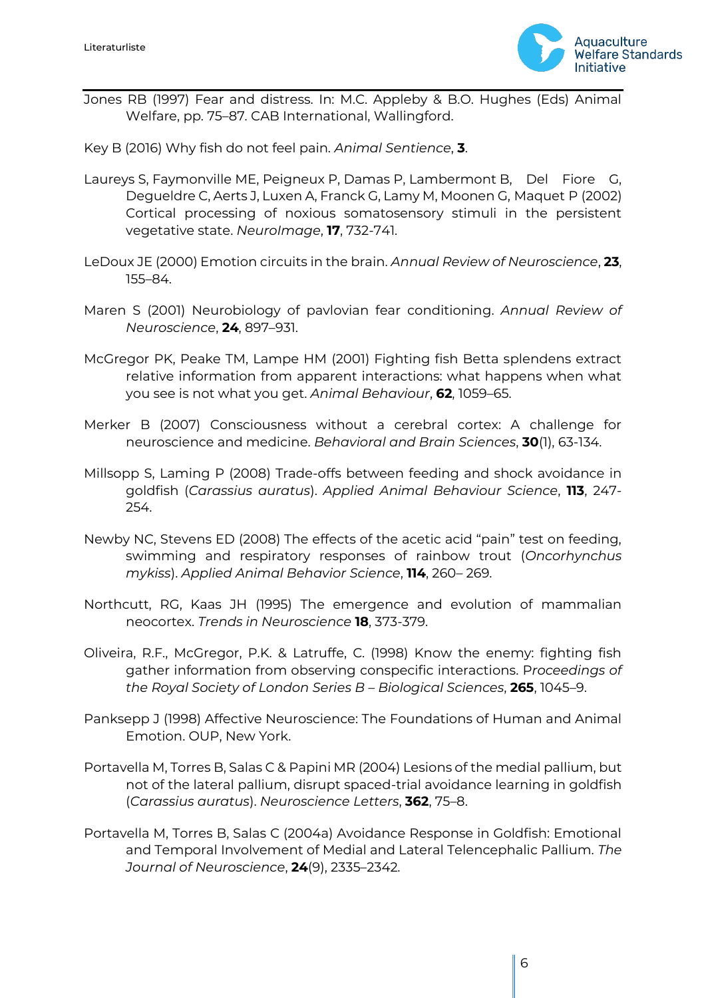

Jones RB (1997) Fear and distress. In: M.C. Appleby & B.O. Hughes (Eds) Animal Welfare, pp. 75–87. CAB International, Wallingford.

Key B (2016) Why fish do not feel pain. *Animal Sentience*, **3**.

- Laureys S, Faymonville ME, Peigneux P, Damas P, Lambermont B, Del Fiore G, Degueldre C, Aerts J, Luxen A, Franck G, Lamy M, Moonen G, Maquet P (2002) Cortical processing of noxious somatosensory stimuli in the persistent vegetative state. *NeuroImage*, **17**, 732-741.
- LeDoux JE (2000) Emotion circuits in the brain. *Annual Review of Neuroscience*, **23**, 155–84.
- Maren S (2001) Neurobiology of pavlovian fear conditioning. *Annual Review of Neuroscience*, **24**, 897–931.
- McGregor PK, Peake TM, Lampe HM (2001) Fighting fish Betta splendens extract relative information from apparent interactions: what happens when what you see is not what you get. *Animal Behaviour*, **62**, 1059–65.
- Merker B (2007) Consciousness without a cerebral cortex: A challenge for neuroscience and medicine. *Behavioral and Brain Sciences*, **30**(1), 63-134.
- Millsopp S, Laming P (2008) Trade-offs between feeding and shock avoidance in goldfish (*Carassius auratus*). *Applied Animal Behaviour Science*, **113**, 247- 254.
- Newby NC, Stevens ED (2008) The effects of the acetic acid "pain" test on feeding, swimming and respiratory responses of rainbow trout (*Oncorhynchus mykiss*). *Applied Animal Behavior Science*, **114**, 260– 269.
- Northcutt, RG, Kaas JH (1995) The emergence and evolution of mammalian neocortex. *Trends in Neuroscience* **18**, 373-379.
- Oliveira, R.F., McGregor, P.K. & Latruffe, C. (1998) Know the enemy: fighting fish gather information from observing conspecific interactions. P*roceedings of the Royal Society of London Series B – Biological Sciences*, **265**, 1045–9.
- Panksepp J (1998) Affective Neuroscience: The Foundations of Human and Animal Emotion. OUP, New York.
- Portavella M, Torres B, Salas C & Papini MR (2004) Lesions of the medial pallium, but not of the lateral pallium, disrupt spaced-trial avoidance learning in goldfish (*Carassius auratus*). *Neuroscience Letters*, **362**, 75–8.
- Portavella M, Torres B, Salas C (2004a) Avoidance Response in Goldfish: Emotional and Temporal Involvement of Medial and Lateral Telencephalic Pallium. *The Journal of Neuroscience*, **24**(9), 2335–2342.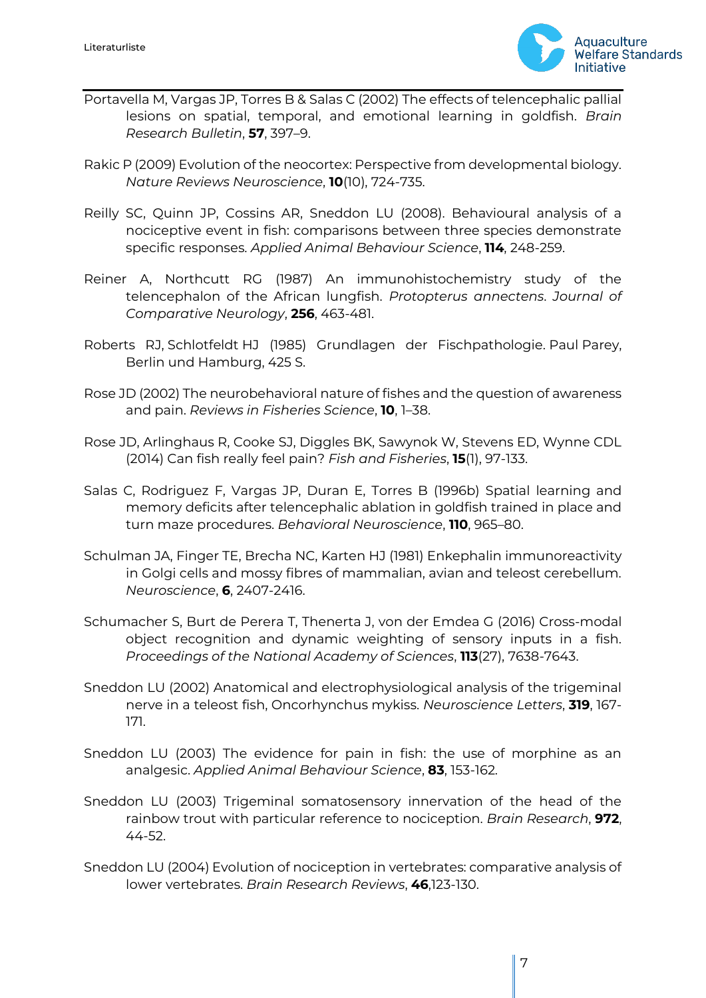

- Portavella M, Vargas JP, Torres B & Salas C (2002) The effects of telencephalic pallial lesions on spatial, temporal, and emotional learning in goldfish. *Brain Research Bulletin*, **57**, 397–9.
- Rakic P (2009) Evolution of the neocortex: Perspective from developmental biology. *Nature Reviews Neuroscience*, **10**(10), 724-735.
- Reilly SC, Quinn JP, Cossins AR, Sneddon LU (2008). Behavioural analysis of a nociceptive event in fish: comparisons between three species demonstrate specific responses. *Applied Animal Behaviour Science*, **114**, 248-259.
- Reiner A, Northcutt RG (1987) An immunohistochemistry study of the telencephalon of the African lungfish. *Protopterus annectens*. *Journal of Comparative Neurology*, **256**, 463-481.
- Roberts RJ, Schlotfeldt HJ (1985) Grundlagen der Fischpathologie. Paul Parey, Berlin und Hamburg, 425 S.
- Rose JD (2002) The neurobehavioral nature of fishes and the question of awareness and pain. *Reviews in Fisheries Science*, **10**, 1–38.
- Rose JD, Arlinghaus R, Cooke SJ, Diggles BK, Sawynok W, Stevens ED, Wynne CDL (2014) Can fish really feel pain? *Fish and Fisheries*, **15**(1), 97-133.
- Salas C, Rodriguez F, Vargas JP, Duran E, Torres B (1996b) Spatial learning and memory deficits after telencephalic ablation in goldfish trained in place and turn maze procedures. *Behavioral Neuroscience*, **110**, 965–80.
- Schulman JA, Finger TE, Brecha NC, Karten HJ (1981) Enkephalin immunoreactivity in Golgi cells and mossy fibres of mammalian, avian and teleost cerebellum. *Neuroscience*, **6**, 2407-2416.
- Schumacher S, Burt de Perera T, Thenerta J, von der Emdea G (2016) Cross-modal object recognition and dynamic weighting of sensory inputs in a fish. *Proceedings of the National Academy of Sciences*, **113**(27), 7638-7643.
- Sneddon LU (2002) Anatomical and electrophysiological analysis of the trigeminal nerve in a teleost fish, Oncorhynchus mykiss. *Neuroscience Letters*, **319**, 167- 171.
- Sneddon LU (2003) The evidence for pain in fish: the use of morphine as an analgesic. *Applied Animal Behaviour Science*, **83**, 153-162.
- Sneddon LU (2003) Trigeminal somatosensory innervation of the head of the rainbow trout with particular reference to nociception. *Brain Research*, **972**, 44-52.
- Sneddon LU (2004) Evolution of nociception in vertebrates: comparative analysis of lower vertebrates. *Brain Research Reviews*, **46**,123-130.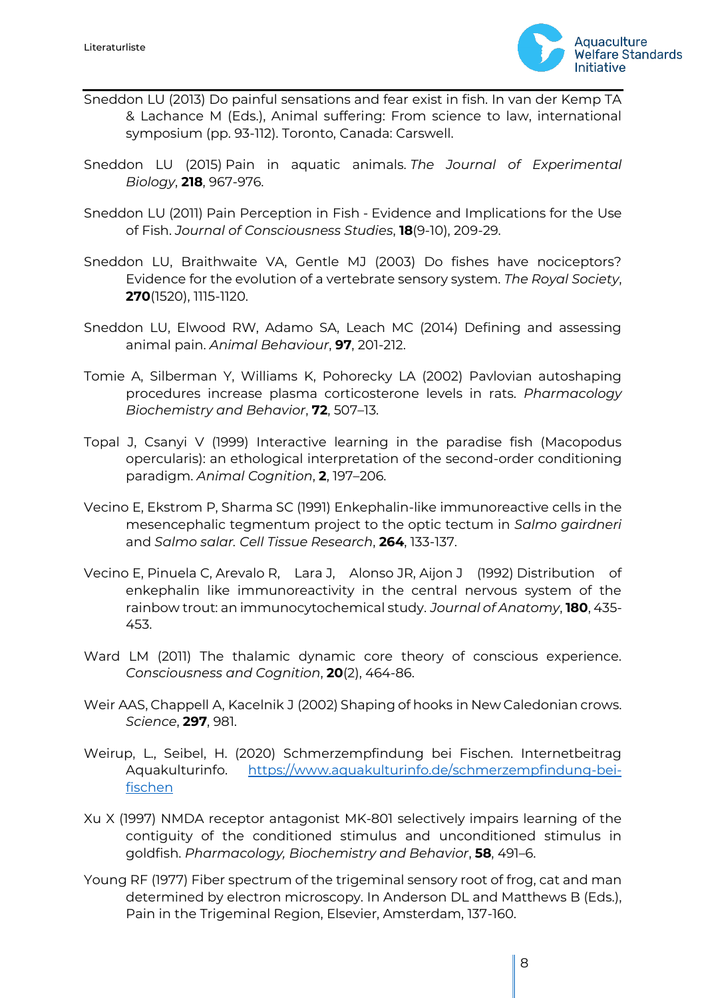

- Sneddon LU (2013) Do painful sensations and fear exist in fish. In van der Kemp TA & Lachance M (Eds.), Animal suffering: From science to law, international symposium (pp. 93-112). Toronto, Canada: Carswell.
- Sneddon LU (2015) Pain in aquatic animals. *The Journal of Experimental Biology*, **218**, 967-976.
- Sneddon LU (2011) Pain Perception in Fish Evidence and Implications for the Use of Fish. *Journal of Consciousness Studies*, **18**(9-10), 209-29.
- Sneddon LU, Braithwaite VA, Gentle MJ (2003) Do fishes have nociceptors? Evidence for the evolution of a vertebrate sensory system. *The Royal Society*, **270**(1520), 1115-1120.
- Sneddon LU, Elwood RW, Adamo SA, Leach MC (2014) Defining and assessing animal pain. *Animal Behaviour*, **97**, 201-212.
- Tomie A, Silberman Y, Williams K, Pohorecky LA (2002) Pavlovian autoshaping procedures increase plasma corticosterone levels in rats. *Pharmacology Biochemistry and Behavior*, **72**, 507–13.
- Topal J, Csanyi V (1999) Interactive learning in the paradise fish (Macopodus opercularis): an ethological interpretation of the second-order conditioning paradigm. *Animal Cognition*, **2**, 197–206.
- Vecino E, Ekstrom P, Sharma SC (1991) Enkephalin-like immunoreactive cells in the mesencephalic tegmentum project to the optic tectum in *Salmo gairdneri* and *Salmo salar. Cell Tissue Research*, **264**, 133-137.
- Vecino E, Pinuela C, Arevalo R, Lara J, Alonso JR, Aijon J (1992) Distribution of enkephalin like immunoreactivity in the central nervous system of the rainbow trout: an immunocytochemical study. *Journal of Anatomy*, **180**, 435- 453.
- Ward LM (2011) The thalamic dynamic core theory of conscious experience. *Consciousness and Cognition*, **20**(2), 464-86.
- Weir AAS, Chappell A, Kacelnik J (2002) Shaping of hooks in New Caledonian crows. *Science*, **297**, 981.
- Weirup, L., Seibel, H. (2020) Schmerzempfindung bei Fischen. Internetbeitrag Aquakulturinfo. [https://www.aquakulturinfo.de/schmerzempfindung-bei](https://www.aquakulturinfo.de/schmerzempfindung-bei-fischen)[fischen](https://www.aquakulturinfo.de/schmerzempfindung-bei-fischen)
- Xu X (1997) NMDA receptor antagonist MK-801 selectively impairs learning of the contiguity of the conditioned stimulus and unconditioned stimulus in goldfish. *Pharmacology, Biochemistry and Behavior*, **58**, 491–6.
- Young RF (1977) Fiber spectrum of the trigeminal sensory root of frog, cat and man determined by electron microscopy. In Anderson DL and Matthews B (Eds.), Pain in the Trigeminal Region, Elsevier, Amsterdam, 137-160.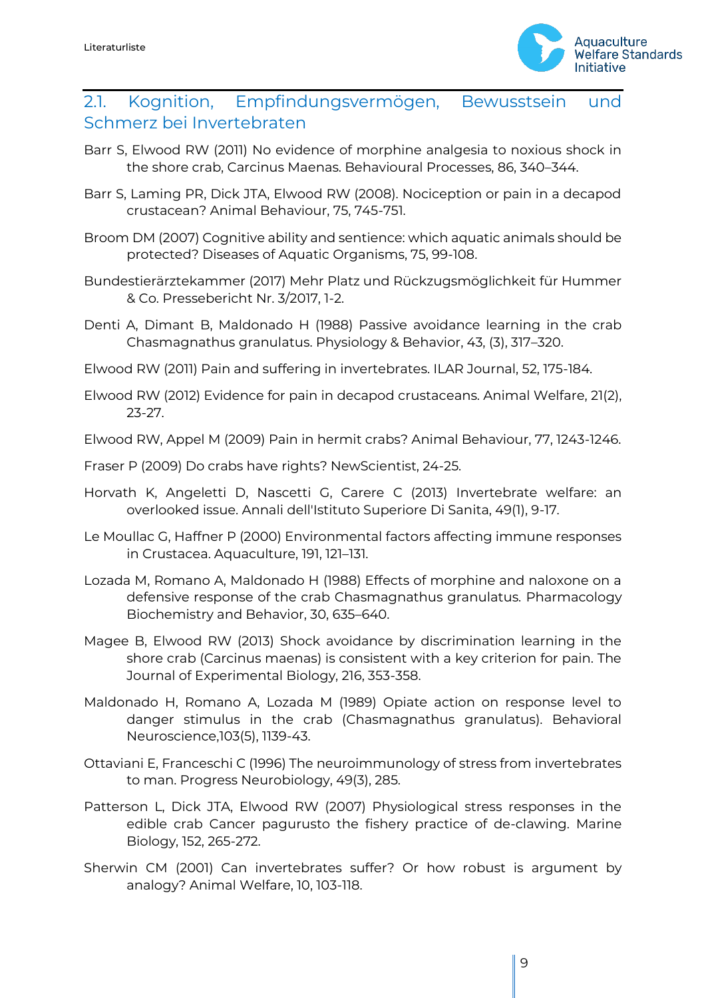

#### <span id="page-8-0"></span>2.1. Kognition, Empfindungsvermögen, Bewusstsein und Schmerz bei Invertebraten

- Barr S, Elwood RW (2011) No evidence of morphine analgesia to noxious shock in the shore crab, Carcinus Maenas. Behavioural Processes, 86, 340–344.
- Barr S, Laming PR, Dick JTA, Elwood RW (2008). Nociception or pain in a decapod crustacean? Animal Behaviour, 75, 745-751.
- Broom DM (2007) Cognitive ability and sentience: which aquatic animals should be protected? Diseases of Aquatic Organisms, 75, 99-108.
- Bundestierärztekammer (2017) Mehr Platz und Rückzugsmöglichkeit für Hummer & Co. Pressebericht Nr. 3/2017, 1-2.
- Denti A, Dimant B, Maldonado H (1988) Passive avoidance learning in the crab Chasmagnathus granulatus. Physiology & Behavior, 43, (3), 317–320.
- Elwood RW (2011) Pain and suffering in invertebrates. ILAR Journal, 52, 175-184.
- Elwood RW (2012) Evidence for pain in decapod crustaceans. Animal Welfare, 21(2), 23-27.

Elwood RW, Appel M (2009) Pain in hermit crabs? Animal Behaviour, 77, 1243-1246.

- Fraser P (2009) Do crabs have rights? NewScientist, 24-25.
- Horvath K, Angeletti D, Nascetti G, Carere C (2013) Invertebrate welfare: an overlooked issue. Annali dell'Istituto Superiore Di Sanita, 49(1), 9-17.
- Le Moullac G, Haffner P (2000) Environmental factors affecting immune responses in Crustacea. Aquaculture, 191, 121–131.
- Lozada M, Romano A, Maldonado H (1988) Effects of morphine and naloxone on a defensive response of the crab Chasmagnathus granulatus. Pharmacology Biochemistry and Behavior, 30, 635–640.
- Magee B, Elwood RW (2013) Shock avoidance by discrimination learning in the shore crab (Carcinus maenas) is consistent with a key criterion for pain. The Journal of Experimental Biology, 216, 353-358.
- Maldonado H, Romano A, Lozada M (1989) Opiate action on response level to danger stimulus in the crab (Chasmagnathus granulatus). Behavioral Neuroscience,103(5), 1139-43.
- Ottaviani E, Franceschi C (1996) The neuroimmunology of stress from invertebrates to man. Progress Neurobiology, 49(3), 285.
- Patterson L, Dick JTA, Elwood RW (2007) Physiological stress responses in the edible crab Cancer pagurusto the fishery practice of de-clawing. Marine Biology, 152, 265-272.
- Sherwin CM (2001) Can invertebrates suffer? Or how robust is argument by analogy? Animal Welfare, 10, 103-118.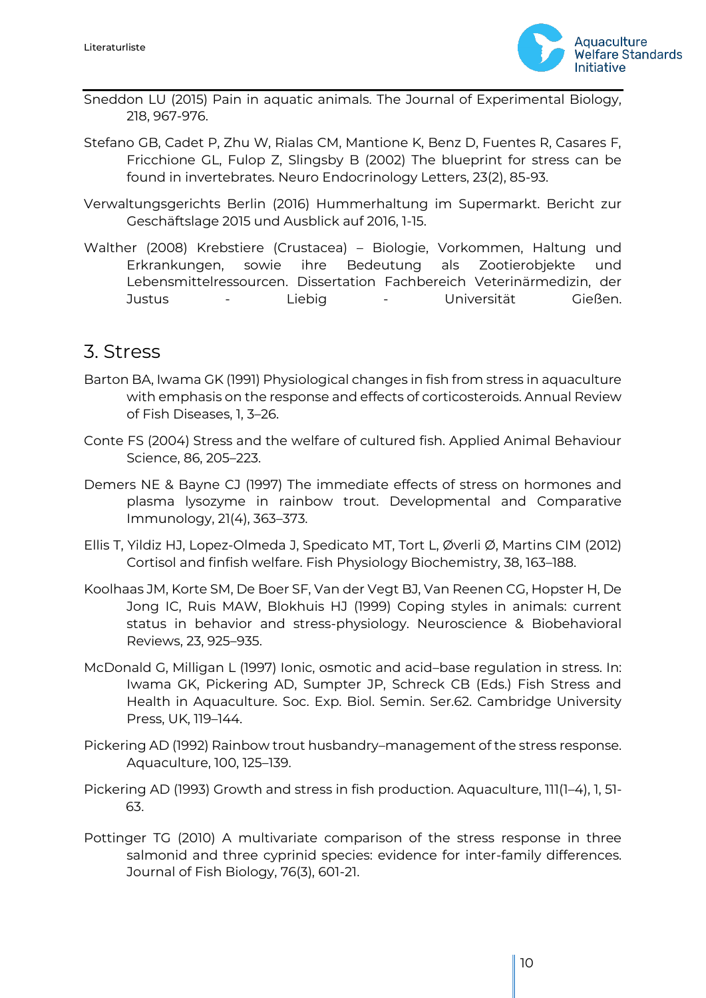

- Sneddon LU (2015) Pain in aquatic animals. The Journal of Experimental Biology, 218, 967-976.
- Stefano GB, Cadet P, Zhu W, Rialas CM, Mantione K, Benz D, Fuentes R, Casares F, Fricchione GL, Fulop Z, Slingsby B (2002) The blueprint for stress can be found in invertebrates. Neuro Endocrinology Letters, 23(2), 85-93.
- Verwaltungsgerichts Berlin (2016) Hummerhaltung im Supermarkt. Bericht zur Geschäftslage 2015 und Ausblick auf 2016, 1-15.
- Walther (2008) Krebstiere (Crustacea) Biologie, Vorkommen, Haltung und Erkrankungen, sowie ihre Bedeutung als Zootierobjekte und Lebensmittelressourcen. Dissertation Fachbereich Veterinärmedizin, der Justus - Liebig - Universität Gießen.

### <span id="page-9-0"></span>3. Stress

- Barton BA, Iwama GK (1991) Physiological changes in fish from stress in aquaculture with emphasis on the response and effects of corticosteroids. Annual Review of Fish Diseases, 1, 3–26.
- Conte FS (2004) Stress and the welfare of cultured fish. Applied Animal Behaviour Science, 86, 205–223.
- Demers NE & Bayne CJ (1997) The immediate effects of stress on hormones and plasma lysozyme in rainbow trout. Developmental and Comparative Immunology, 21(4), 363–373.
- Ellis T, Yildiz HJ, Lopez-Olmeda J, Spedicato MT, Tort L, Øverli Ø, Martins CIM (2012) Cortisol and finfish welfare. Fish Physiology Biochemistry, 38, 163–188.
- Koolhaas JM, Korte SM, De Boer SF, Van der Vegt BJ, Van Reenen CG, Hopster H, De Jong IC, Ruis MAW, Blokhuis HJ (1999) Coping styles in animals: current status in behavior and stress-physiology. Neuroscience & Biobehavioral Reviews, 23, 925–935.
- McDonald G, Milligan L (1997) Ionic, osmotic and acid–base regulation in stress. In: Iwama GK, Pickering AD, Sumpter JP, Schreck CB (Eds.) Fish Stress and Health in Aquaculture. Soc. Exp. Biol. Semin. Ser.62. Cambridge University Press, UK, 119–144.
- Pickering AD (1992) Rainbow trout husbandry–management of the stress response. Aquaculture, 100, 125–139.
- Pickering AD (1993) Growth and stress in fish production. Aquaculture, 111(1–4), 1, 51- 63.
- Pottinger TG (2010) A multivariate comparison of the stress response in three salmonid and three cyprinid species: evidence for inter-family differences. Journal of Fish Biology, 76(3), 601-21.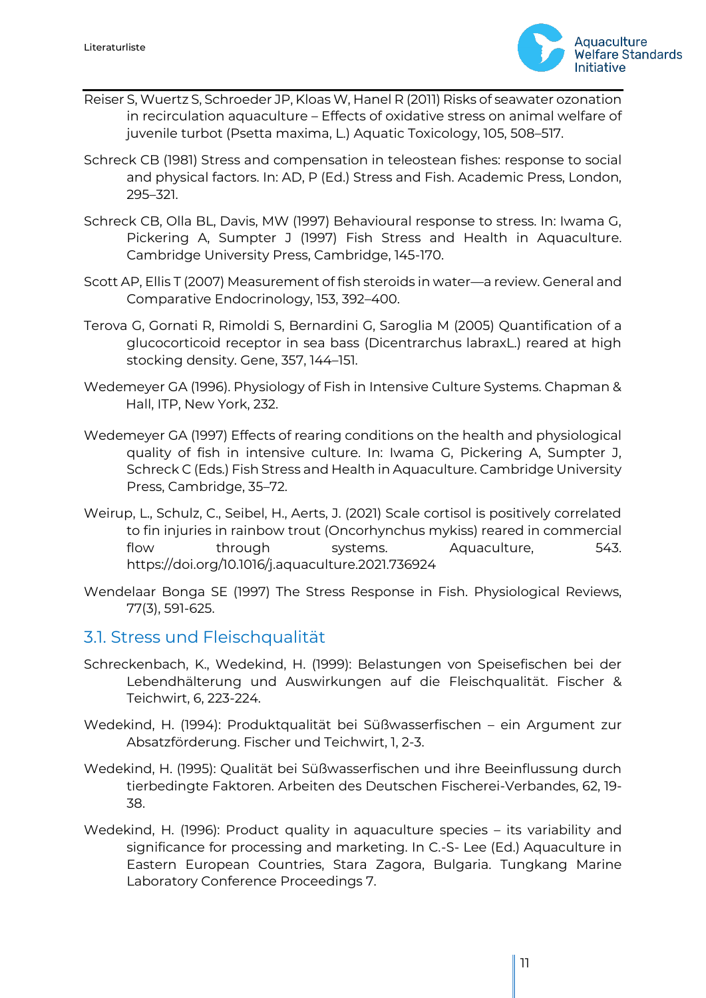

- Reiser S, Wuertz S, Schroeder JP, Kloas W, Hanel R (2011) Risks of seawater ozonation in recirculation aquaculture – Effects of oxidative stress on animal welfare of juvenile turbot (Psetta maxima, L.) Aquatic Toxicology, 105, 508–517.
- Schreck CB (1981) Stress and compensation in teleostean fishes: response to social and physical factors. In: AD, P (Ed.) Stress and Fish. Academic Press, London, 295–321.
- Schreck CB, Olla BL, Davis, MW (1997) Behavioural response to stress. In: Iwama G, Pickering A, Sumpter J (1997) Fish Stress and Health in Aquaculture. Cambridge University Press, Cambridge, 145-170.
- Scott AP, Ellis T (2007) Measurement of fish steroids in water—a review. General and Comparative Endocrinology, 153, 392–400.
- Terova G, Gornati R, Rimoldi S, Bernardini G, Saroglia M (2005) Quantification of a glucocorticoid receptor in sea bass (Dicentrarchus labraxL.) reared at high stocking density. Gene, 357, 144–151.
- Wedemeyer GA (1996). Physiology of Fish in Intensive Culture Systems. Chapman & Hall, ITP, New York, 232.
- Wedemeyer GA (1997) Effects of rearing conditions on the health and physiological quality of fish in intensive culture. In: Iwama G, Pickering A, Sumpter J, Schreck C (Eds.) Fish Stress and Health in Aquaculture. Cambridge University Press, Cambridge, 35–72.
- Weirup, L., Schulz, C., Seibel, H., Aerts, J. (2021) Scale cortisol is positively correlated to fin injuries in rainbow trout (Oncorhynchus mykiss) reared in commercial flow through systems. Aquaculture, 543. https://doi.org/10.1016/j.aquaculture.2021.736924
- Wendelaar Bonga SE (1997) The Stress Response in Fish. Physiological Reviews, 77(3), 591-625.

#### <span id="page-10-0"></span>3.1. Stress und Fleischqualität

- Schreckenbach, K., Wedekind, H. (1999): Belastungen von Speisefischen bei der Lebendhälterung und Auswirkungen auf die Fleischqualität. Fischer & Teichwirt, 6, 223-224.
- Wedekind, H. (1994): Produktqualität bei Süßwasserfischen ein Argument zur Absatzförderung. Fischer und Teichwirt, 1, 2-3.
- Wedekind, H. (1995): Qualität bei Süßwasserfischen und ihre Beeinflussung durch tierbedingte Faktoren. Arbeiten des Deutschen Fischerei-Verbandes, 62, 19- 38.
- Wedekind, H. (1996): Product quality in aquaculture species its variability and significance for processing and marketing. In C.-S- Lee (Ed.) Aquaculture in Eastern European Countries, Stara Zagora, Bulgaria. Tungkang Marine Laboratory Conference Proceedings 7.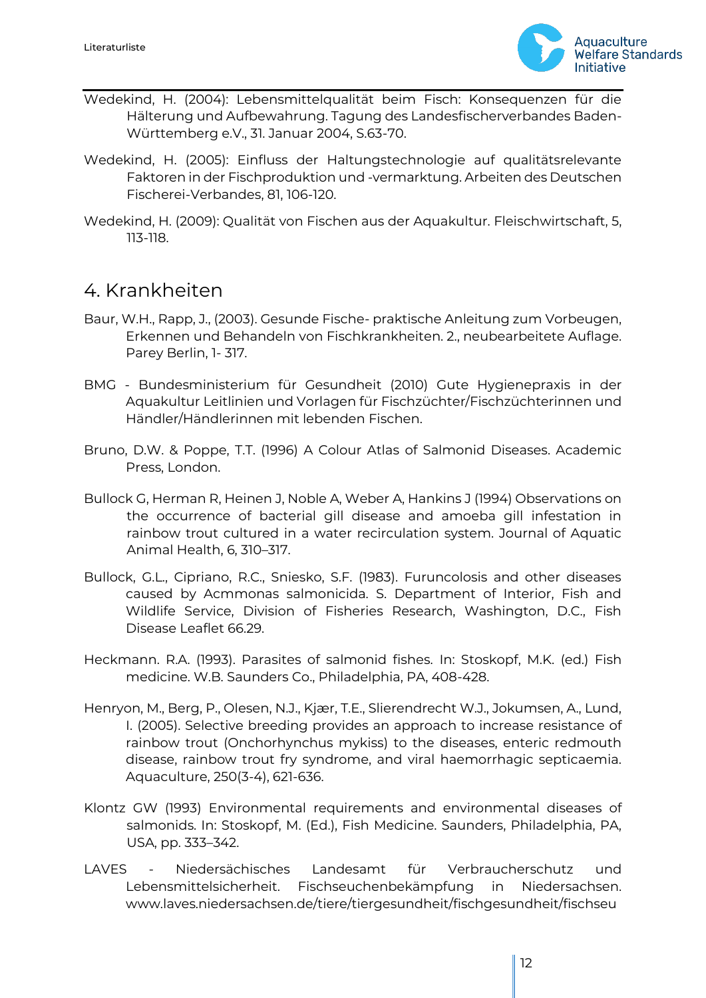

- Wedekind, H. (2004): Lebensmittelqualität beim Fisch: Konsequenzen für die Hälterung und Aufbewahrung. Tagung des Landesfischerverbandes Baden-Württemberg e.V., 31. Januar 2004, S.63-70.
- Wedekind, H. (2005): Einfluss der Haltungstechnologie auf qualitätsrelevante Faktoren in der Fischproduktion und -vermarktung. Arbeiten des Deutschen Fischerei-Verbandes, 81, 106-120.
- Wedekind, H. (2009): Qualität von Fischen aus der Aquakultur. Fleischwirtschaft, 5, 113-118.

## <span id="page-11-0"></span>4. Krankheiten

- Baur, W.H., Rapp, J., (2003). Gesunde Fische- praktische Anleitung zum Vorbeugen, Erkennen und Behandeln von Fischkrankheiten. 2., neubearbeitete Auflage. Parey Berlin, 1- 317.
- BMG Bundesministerium für Gesundheit (2010) Gute Hygienepraxis in der Aquakultur Leitlinien und Vorlagen für Fischzüchter/Fischzüchterinnen und Händler/Händlerinnen mit lebenden Fischen.
- Bruno, D.W. & Poppe, T.T. (1996) A Colour Atlas of Salmonid Diseases. Academic Press, London.
- Bullock G, Herman R, Heinen J, Noble A, Weber A, Hankins J (1994) Observations on the occurrence of bacterial gill disease and amoeba gill infestation in rainbow trout cultured in a water recirculation system. Journal of Aquatic Animal Health, 6, 310–317.
- Bullock, G.L., Cipriano, R.C., Sniesko, S.F. (1983). Furuncolosis and other diseases caused by Acmmonas salmonicida. S. Department of Interior, Fish and Wildlife Service, Division of Fisheries Research, Washington, D.C., Fish Disease Leaflet 66.29.
- Heckmann. R.A. (1993). Parasites of salmonid fishes. In: Stoskopf, M.K. (ed.) Fish medicine. W.B. Saunders Co., Philadelphia, PA, 408-428.
- Henryon, M., Berg, P., Olesen, N.J., Kjær, T.E., Slierendrecht W.J., Jokumsen, A., Lund, I. (2005). Selective breeding provides an approach to increase resistance of rainbow trout (Onchorhynchus mykiss) to the diseases, enteric redmouth disease, rainbow trout fry syndrome, and viral haemorrhagic septicaemia. Aquaculture, 250(3-4), 621-636.
- Klontz GW (1993) Environmental requirements and environmental diseases of salmonids. In: Stoskopf, M. (Ed.), Fish Medicine. Saunders, Philadelphia, PA, USA, pp. 333–342.
- LAVES Niedersächisches Landesamt für Verbraucherschutz und Lebensmittelsicherheit. Fischseuchenbekämpfung in Niedersachsen. www.laves.niedersachsen.de/tiere/tiergesundheit/fischgesundheit/fischseu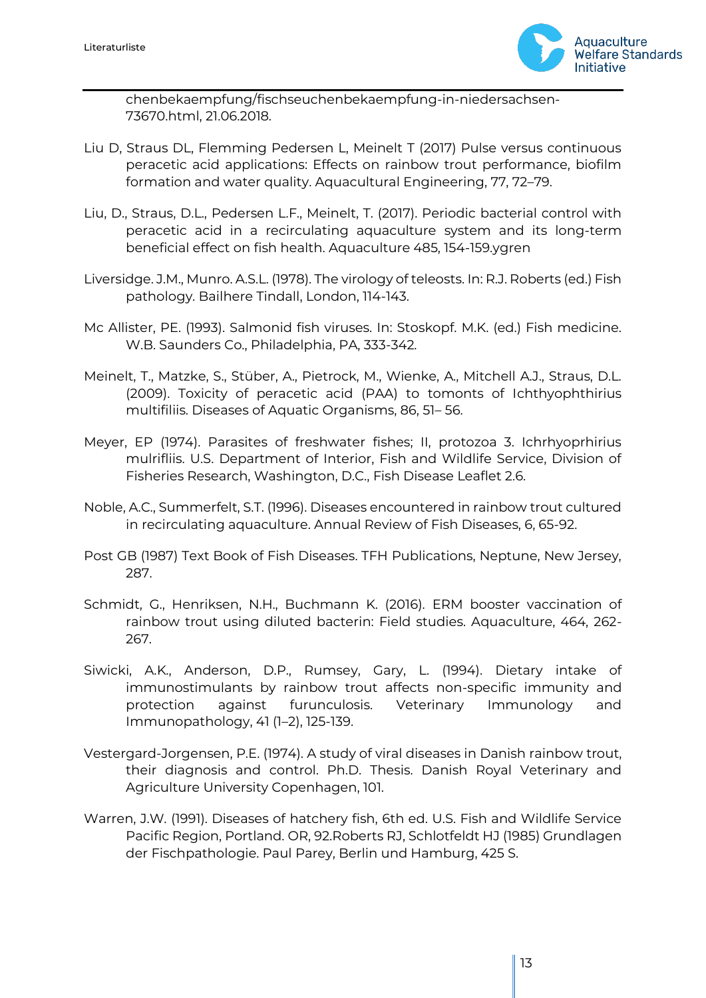

chenbekaempfung/fischseuchenbekaempfung-in-niedersachsen-73670.html, 21.06.2018.

- Liu D, Straus DL, Flemming Pedersen L, Meinelt T (2017) Pulse versus continuous peracetic acid applications: Effects on rainbow trout performance, biofilm formation and water quality. Aquacultural Engineering, 77, 72–79.
- Liu, D., Straus, D.L., Pedersen L.F., Meinelt, T. (2017). Periodic bacterial control with peracetic acid in a recirculating aquaculture system and its long-term beneficial effect on fish health. Aquaculture 485, 154-159.ygren
- Liversidge. J.M., Munro. A.S.L. (1978). The virology of teleosts. In: R.J. Roberts (ed.) Fish pathology. Bailhere Tindall, London, 114-143.
- Mc Allister, PE. (1993). Salmonid fish viruses. In: Stoskopf. M.K. (ed.) Fish medicine. W.B. Saunders Co., Philadelphia, PA, 333-342.
- Meinelt, T., Matzke, S., Stüber, A., Pietrock, M., Wienke, A., Mitchell A.J., Straus, D.L. (2009). Toxicity of peracetic acid (PAA) to tomonts of Ichthyophthirius multifiliis. Diseases of Aquatic Organisms, 86, 51– 56.
- Meyer, EP (1974). Parasites of freshwater fishes; II, protozoa 3. Ichrhyoprhirius mulrifliis. U.S. Department of Interior, Fish and Wildlife Service, Division of Fisheries Research, Washington, D.C., Fish Disease Leaflet 2.6.
- Noble, A.C., Summerfelt, S.T. (1996). Diseases encountered in rainbow trout cultured in recirculating aquaculture. Annual Review of Fish Diseases, 6, 65-92.
- Post GB (1987) Text Book of Fish Diseases. TFH Publications, Neptune, New Jersey, 287.
- Schmidt, G., Henriksen, N.H., Buchmann K. (2016). ERM booster vaccination of rainbow trout using diluted bacterin: Field studies. Aquaculture, 464, 262- 267.
- Siwicki, A.K., Anderson, D.P., Rumsey, Gary, L. (1994). Dietary intake of immunostimulants by rainbow trout affects non-specific immunity and protection against furunculosis. Veterinary Immunology and Immunopathology, 41 (1–2), 125-139.
- Vestergard-Jorgensen, P.E. (1974). A study of viral diseases in Danish rainbow trout, their diagnosis and control. Ph.D. Thesis. Danish Royal Veterinary and Agriculture University Copenhagen, 101.
- Warren, J.W. (1991). Diseases of hatchery fish, 6th ed. U.S. Fish and Wildlife Service Pacific Region, Portland. OR, 92.Roberts RJ, Schlotfeldt HJ (1985) Grundlagen der Fischpathologie. Paul Parey, Berlin und Hamburg, 425 S.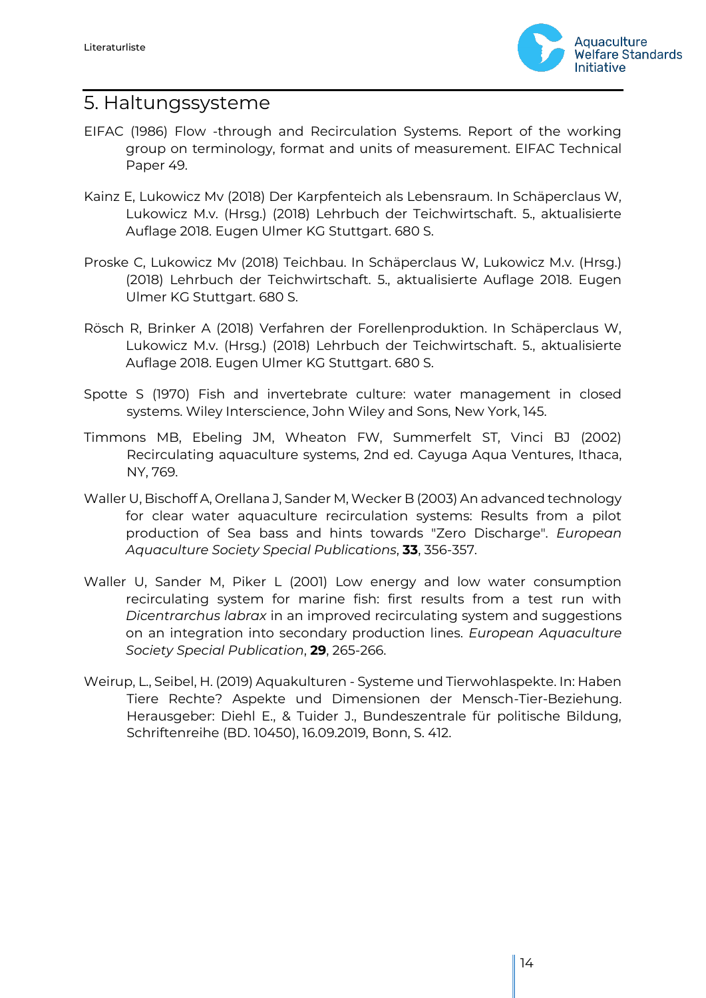

#### <span id="page-13-0"></span>5. Haltungssysteme

- EIFAC (1986) Flow -through and Recirculation Systems. Report of the working group on terminology, format and units of measurement. EIFAC Technical Paper 49.
- Kainz E, Lukowicz Mv (2018) Der Karpfenteich als Lebensraum. In Schäperclaus W, Lukowicz M.v. (Hrsg.) (2018) Lehrbuch der Teichwirtschaft. 5., aktualisierte Auflage 2018. Eugen Ulmer KG Stuttgart. 680 S.
- Proske C, Lukowicz Mv (2018) Teichbau. In Schäperclaus W, Lukowicz M.v. (Hrsg.) (2018) Lehrbuch der Teichwirtschaft. 5., aktualisierte Auflage 2018. Eugen Ulmer KG Stuttgart. 680 S.
- Rösch R, Brinker A (2018) Verfahren der Forellenproduktion. In Schäperclaus W, Lukowicz M.v. (Hrsg.) (2018) Lehrbuch der Teichwirtschaft. 5., aktualisierte Auflage 2018. Eugen Ulmer KG Stuttgart. 680 S.
- Spotte S (1970) Fish and invertebrate culture: water management in closed systems. Wiley Interscience, John Wiley and Sons, New York, 145.
- Timmons MB, Ebeling JM, Wheaton FW, Summerfelt ST, Vinci BJ (2002) Recirculating aquaculture systems, 2nd ed. Cayuga Aqua Ventures, Ithaca, NY, 769.
- Waller U, Bischoff A, Orellana J, Sander M, Wecker B (2003) An advanced technology for clear water aquaculture recirculation systems: Results from a pilot production of Sea bass and hints towards "Zero Discharge". *European Aquaculture Society Special Publications*, **33**, 356-357.
- Waller U, Sander M, Piker L (2001) Low energy and low water consumption recirculating system for marine fish: first results from a test run with *Dicentrarchus labrax* in an improved recirculating system and suggestions on an integration into secondary production lines. *European Aquaculture Society Special Publication*, **29**, 265-266.
- Weirup, L., Seibel, H. (2019) Aquakulturen Systeme und Tierwohlaspekte. In: Haben Tiere Rechte? Aspekte und Dimensionen der Mensch-Tier-Beziehung. Herausgeber: Diehl E., & Tuider J., Bundeszentrale für politische Bildung, Schriftenreihe (BD. 10450), 16.09.2019, Bonn, S. 412.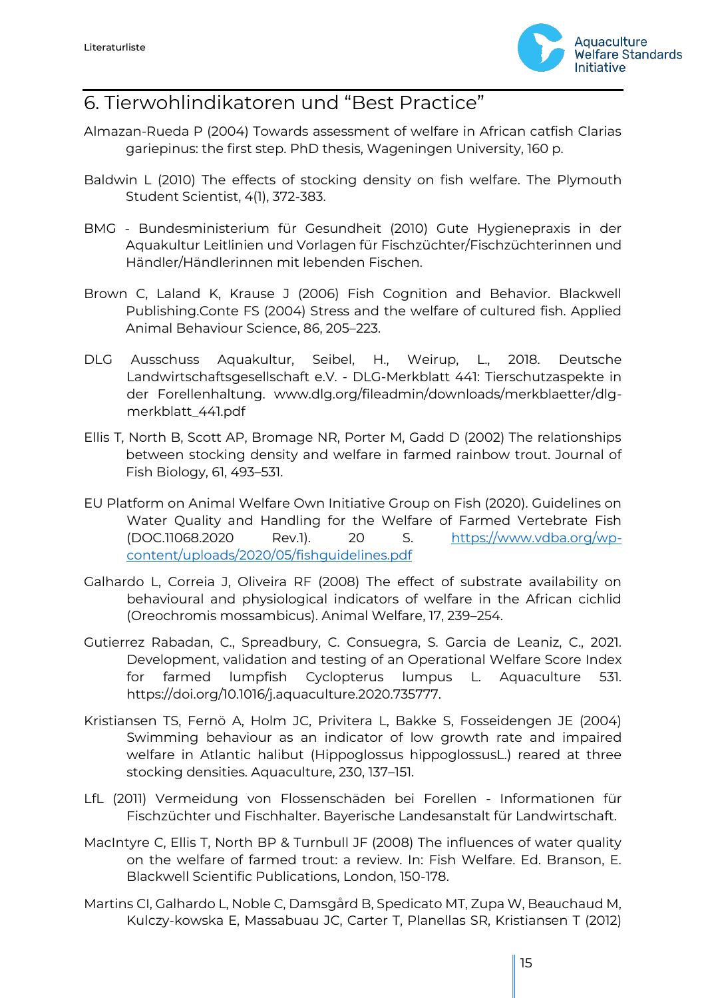

# <span id="page-14-0"></span>6. Tierwohlindikatoren und "Best Practice"

- Almazan-Rueda P (2004) Towards assessment of welfare in African catfish Clarias gariepinus: the first step. PhD thesis, Wageningen University, 160 p.
- Baldwin L (2010) The effects of stocking density on fish welfare. The Plymouth Student Scientist, 4(1), 372-383.
- BMG Bundesministerium für Gesundheit (2010) Gute Hygienepraxis in der Aquakultur Leitlinien und Vorlagen für Fischzüchter/Fischzüchterinnen und Händler/Händlerinnen mit lebenden Fischen.
- Brown C, Laland K, Krause J (2006) Fish Cognition and Behavior. Blackwell Publishing.Conte FS (2004) Stress and the welfare of cultured fish. Applied Animal Behaviour Science, 86, 205–223.
- DLG Ausschuss Aquakultur, Seibel, H., Weirup, L., 2018. Deutsche Landwirtschaftsgesellschaft e.V. - DLG-Merkblatt 441: Tierschutzaspekte in der Forellenhaltung. www.dlg.org/fileadmin/downloads/merkblaetter/dlgmerkblatt\_441.pdf
- Ellis T, North B, Scott AP, Bromage NR, Porter M, Gadd D (2002) The relationships between stocking density and welfare in farmed rainbow trout. Journal of Fish Biology, 61, 493–531.
- EU Platform on Animal Welfare Own Initiative Group on Fish (2020). Guidelines on Water Quality and Handling for the Welfare of Farmed Vertebrate Fish (DOC.11068.2020 Rev.1). 20 S. [https://www.vdba.org/wp](https://www.vdba.org/wp-content/uploads/2020/05/fishguidelines.pdf)[content/uploads/2020/05/fishguidelines.pdf](https://www.vdba.org/wp-content/uploads/2020/05/fishguidelines.pdf)
- Galhardo L, Correia J, Oliveira RF (2008) The effect of substrate availability on behavioural and physiological indicators of welfare in the African cichlid (Oreochromis mossambicus). Animal Welfare, 17, 239–254.
- Gutierrez Rabadan, C., Spreadbury, C. Consuegra, S. Garcia de Leaniz, C., 2021. Development, validation and testing of an Operational Welfare Score Index for farmed lumpfish Cyclopterus lumpus L. Aquaculture 531. https://doi.org/10.1016/j.aquaculture.2020.735777.
- Kristiansen TS, Fernö A, Holm JC, Privitera L, Bakke S, Fosseidengen JE (2004) Swimming behaviour as an indicator of low growth rate and impaired welfare in Atlantic halibut (Hippoglossus hippoglossusL.) reared at three stocking densities. Aquaculture, 230, 137–151.
- LfL (2011) Vermeidung von Flossenschäden bei Forellen Informationen für Fischzüchter und Fischhalter. Bayerische Landesanstalt für Landwirtschaft.
- MacIntyre C, Ellis T, North BP & Turnbull JF (2008) The influences of water quality on the welfare of farmed trout: a review. In: Fish Welfare. Ed. Branson, E. Blackwell Scientific Publications, London, 150-178.
- Martins CI, Galhardo L, Noble C, Damsgård B, Spedicato MT, Zupa W, Beauchaud M, Kulczy‐kowska E, Massabuau JC, Carter T, Planellas SR, Kristiansen T (2012)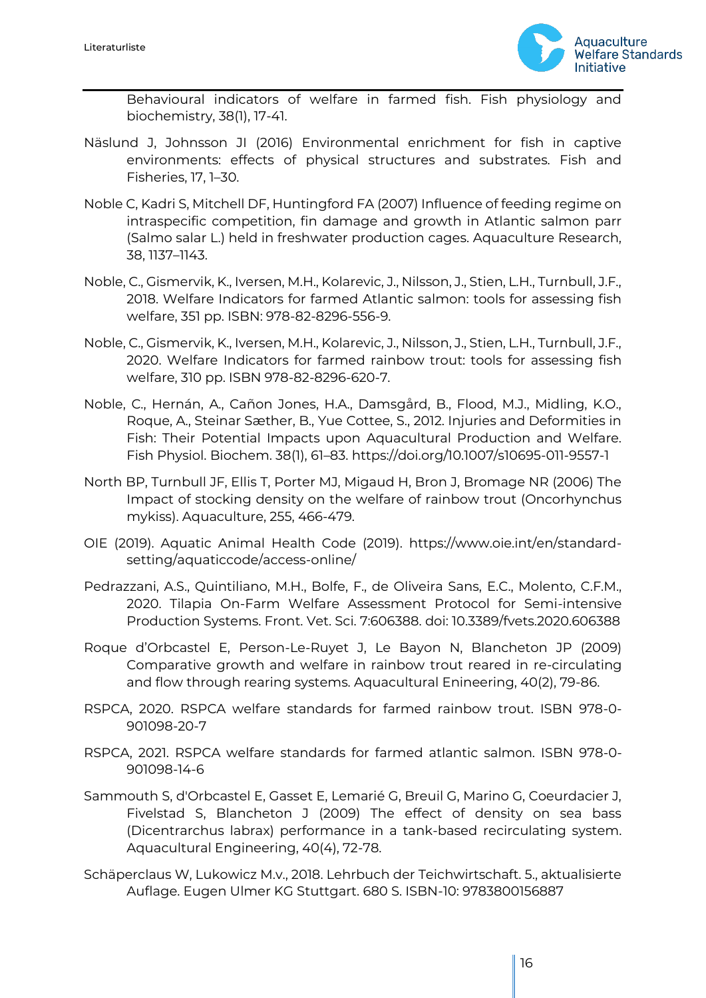

Behavioural indicators of welfare in farmed fish. Fish physiology and biochemistry, 38(1), 17‐41.

- Näslund J, Johnsson JI (2016) Environmental enrichment for fish in captive environments: effects of physical structures and substrates. Fish and Fisheries, 17, 1–30.
- Noble C, Kadri S, Mitchell DF, Huntingford FA (2007) Influence of feeding regime on intraspecific competition, fin damage and growth in Atlantic salmon parr (Salmo salar L.) held in freshwater production cages. Aquaculture Research, 38, 1137–1143.
- Noble, C., Gismervik, K., Iversen, M.H., Kolarevic, J., Nilsson, J., Stien, L.H., Turnbull, J.F., 2018. Welfare Indicators for farmed Atlantic salmon: tools for assessing fish welfare, 351 pp. ISBN: 978-82-8296-556-9.
- Noble, C., Gismervik, K., Iversen, M.H., Kolarevic, J., Nilsson, J., Stien, L.H., Turnbull, J.F., 2020. Welfare Indicators for farmed rainbow trout: tools for assessing fish welfare, 310 pp. ISBN 978-82-8296-620-7.
- Noble, C., Hernán, A., Cañon Jones, H.A., Damsgård, B., Flood, M.J., Midling, K.O., Roque, A., Steinar Sæther, B., Yue Cottee, S., 2012. Injuries and Deformities in Fish: Their Potential Impacts upon Aquacultural Production and Welfare. Fish Physiol. Biochem. 38(1), 61–83. https://doi.org/10.1007/s10695-011-9557-1
- North BP, Turnbull JF, Ellis T, Porter MJ, Migaud H, Bron J, Bromage NR (2006) The Impact of stocking density on the welfare of rainbow trout (Oncorhynchus mykiss). Aquaculture, 255, 466-479.
- OIE (2019). Aquatic Animal Health Code (2019). https://www.oie.int/en/standardsetting/aquaticcode/access-online/
- Pedrazzani, A.S., Quintiliano, M.H., Bolfe, F., de Oliveira Sans, E.C., Molento, C.F.M., 2020. Tilapia On-Farm Welfare Assessment Protocol for Semi-intensive Production Systems. Front. Vet. Sci. 7:606388. doi: 10.3389/fvets.2020.606388
- Roque d'Orbcastel E, Person-Le-Ruyet J, Le Bayon N, Blancheton JP (2009) Comparative growth and welfare in rainbow trout reared in re-circulating and flow through rearing systems. Aquacultural Enineering, 40(2), 79-86.
- RSPCA, 2020. RSPCA welfare standards for farmed rainbow trout. ISBN 978-0- 901098-20-7
- RSPCA, 2021. RSPCA welfare standards for farmed atlantic salmon. ISBN 978-0- 901098-14-6
- Sammouth S, d'Orbcastel E, Gasset E, Lemarié G, Breuil G, Marino G, Coeurdacier J, Fivelstad S, Blancheton J (2009) The effect of density on sea bass (Dicentrarchus labrax) performance in a tank-based recirculating system. Aquacultural Engineering, 40(4), 72-78.
- Schäperclaus W, Lukowicz M.v., 2018. Lehrbuch der Teichwirtschaft. 5., aktualisierte Auflage. Eugen Ulmer KG Stuttgart. 680 S. ISBN-10: 9783800156887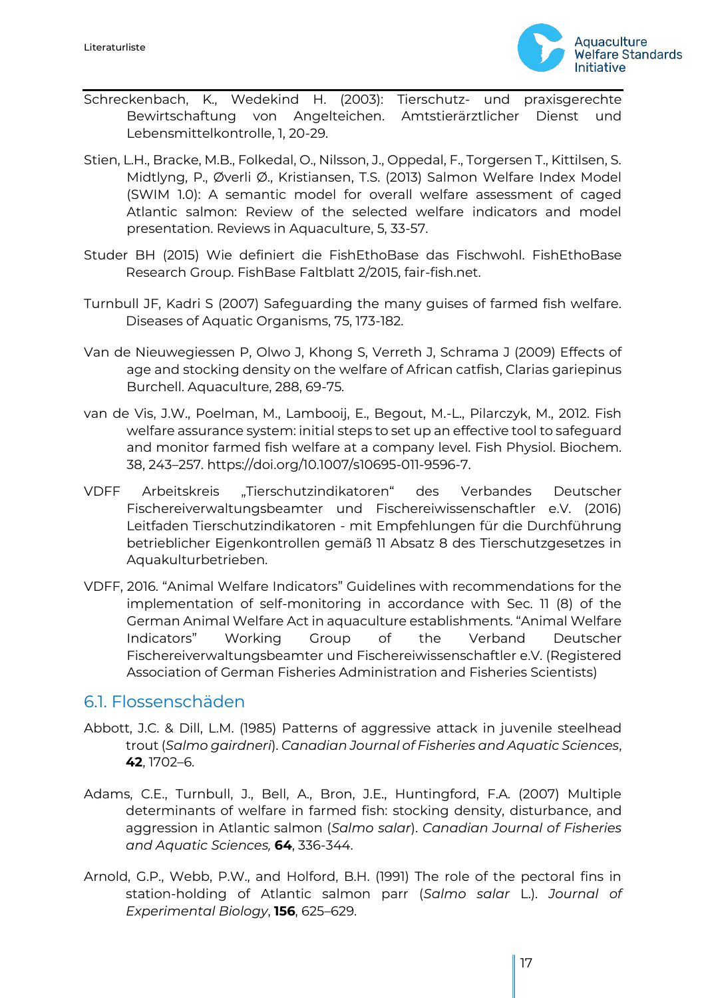

- Schreckenbach, K., Wedekind H. (2003): Tierschutz- und praxisgerechte Bewirtschaftung von Angelteichen. Amtstierärztlicher Dienst und Lebensmittelkontrolle, 1, 20-29.
- Stien, L.H., Bracke, M.B., Folkedal, O., Nilsson, J., Oppedal, F., Torgersen T., Kittilsen, S. Midtlyng, P., Øverli Ø., Kristiansen, T.S. (2013) Salmon Welfare Index Model (SWIM 1.0): A semantic model for overall welfare assessment of caged Atlantic salmon: Review of the selected welfare indicators and model presentation. Reviews in Aquaculture, 5, 33-57.
- Studer BH (2015) Wie definiert die FishEthoBase das Fischwohl. FishEthoBase Research Group. FishBase Faltblatt 2/2015, fair-fish.net.
- Turnbull JF, Kadri S (2007) Safeguarding the many guises of farmed fish welfare. Diseases of Aquatic Organisms, 75, 173-182.
- Van de Nieuwegiessen P, Olwo J, Khong S, Verreth J, Schrama J (2009) Effects of age and stocking density on the welfare of African catfish, Clarias gariepinus Burchell. Aquaculture, 288, 69-75.
- van de Vis, J.W., Poelman, M., Lambooij, E., Begout, M.-L., Pilarczyk, M., 2012. Fish welfare assurance system: initial steps to set up an effective tool to safeguard and monitor farmed fish welfare at a company level. Fish Physiol. Biochem. 38, 243–257. https://doi.org/10.1007/s10695-011-9596-7.
- VDFF Arbeitskreis "Tierschutzindikatoren" des Verbandes Deutscher Fischereiverwaltungsbeamter und Fischereiwissenschaftler e.V. (2016) Leitfaden Tierschutzindikatoren - mit Empfehlungen für die Durchführung betrieblicher Eigenkontrollen gemäß 11 Absatz 8 des Tierschutzgesetzes in Aquakulturbetrieben.
- VDFF, 2016. "Animal Welfare Indicators" Guidelines with recommendations for the implementation of self-monitoring in accordance with Sec. 11 (8) of the German Animal Welfare Act in aquaculture establishments. "Animal Welfare Indicators" Working Group of the Verband Deutscher Fischereiverwaltungsbeamter und Fischereiwissenschaftler e.V. (Registered Association of German Fisheries Administration and Fisheries Scientists)

#### <span id="page-16-0"></span>6.1. Flossenschäden

- Abbott, J.C. & Dill, L.M. (1985) Patterns of aggressive attack in juvenile steelhead trout (*Salmo gairdneri*). *Canadian Journal of Fisheries and Aquatic Sciences*, **42**, 1702–6.
- Adams, C.E., Turnbull, J., Bell, A., Bron, J.E., Huntingford, F.A. (2007) Multiple determinants of welfare in farmed fish: stocking density, disturbance, and aggression in Atlantic salmon (*Salmo salar*). *Canadian Journal of Fisheries and Aquatic Sciences,* **64**, 336-344.
- Arnold, G.P., Webb, P.W., and Holford, B.H. (1991) The role of the pectoral fins in station-holding of Atlantic salmon parr (*Salmo salar* L.). *Journal of Experimental Biology*, **156**, 625–629.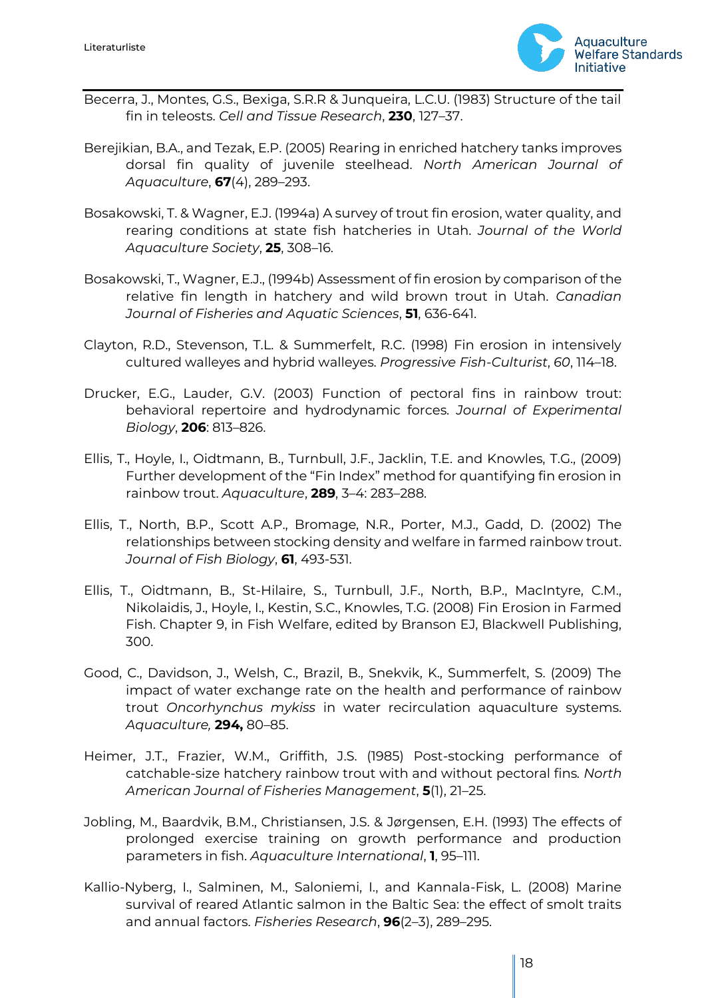

- Becerra, J., Montes, G.S., Bexiga, S.R.R & Junqueira, L.C.U. (1983) Structure of the tail fin in teleosts. *Cell and Tissue Research*, **230**, 127–37.
- Berejikian, B.A., and Tezak, E.P. (2005) Rearing in enriched hatchery tanks improves dorsal fin quality of juvenile steelhead. *North American Journal of Aquaculture*, **67**(4), 289–293.
- Bosakowski, T. & Wagner, E.J. (1994a) A survey of trout fin erosion, water quality, and rearing conditions at state fish hatcheries in Utah. *Journal of the World Aquaculture Society*, **25**, 308–16.
- Bosakowski, T., Wagner, E.J., (1994b) Assessment of fin erosion by comparison of the relative fin length in hatchery and wild brown trout in Utah. *Canadian Journal of Fisheries and Aquatic Sciences*, **51**, 636-641.
- Clayton, R.D., Stevenson, T.L. & Summerfelt, R.C. (1998) Fin erosion in intensively cultured walleyes and hybrid walleyes. *Progressive Fish-Culturist*, *60*, 114–18.
- Drucker, E.G., Lauder, G.V. (2003) Function of pectoral fins in rainbow trout: behavioral repertoire and hydrodynamic forces. *Journal of Experimental Biology*, **206**: 813–826.
- Ellis, T., Hoyle, I., Oidtmann, B., Turnbull, J.F., Jacklin, T.E. and Knowles, T.G., (2009) Further development of the "Fin Index" method for quantifying fin erosion in rainbow trout. *Aquaculture*, **289**, 3–4: 283–288.
- Ellis, T., North, B.P., Scott A.P., Bromage, N.R., Porter, M.J., Gadd, D. (2002) The relationships between stocking density and welfare in farmed rainbow trout. *Journal of Fish Biology*, **61**, 493-531.
- Ellis, T., Oidtmann, B., St-Hilaire, S., Turnbull, J.F., North, B.P., MacIntyre, C.M., Nikolaidis, J., Hoyle, I., Kestin, S.C., Knowles, T.G. (2008) Fin Erosion in Farmed Fish. Chapter 9, in Fish Welfare, edited by Branson EJ, Blackwell Publishing, 300.
- Good, C., Davidson, J., Welsh, C., Brazil, B., Snekvik, K., Summerfelt, S. (2009) The impact of water exchange rate on the health and performance of rainbow trout *Oncorhynchus mykiss* in water recirculation aquaculture systems. *Aquaculture,* **294,** 80–85.
- Heimer, J.T., Frazier, W.M., Griffith, J.S. (1985) Post-stocking performance of catchable-size hatchery rainbow trout with and without pectoral fins*. North American Journal of Fisheries Management*, **5**(1), 21–25.
- Jobling, M., Baardvik, B.M., Christiansen, J.S. & Jørgensen, E.H. (1993) The effects of prolonged exercise training on growth performance and production parameters in fish. *Aquaculture International*, **1**, 95–111.
- Kallio-Nyberg, I., Salminen, M., Saloniemi, I., and Kannala-Fisk, L. (2008) Marine survival of reared Atlantic salmon in the Baltic Sea: the effect of smolt traits and annual factors. *Fisheries Research*, **96**(2–3), 289–295.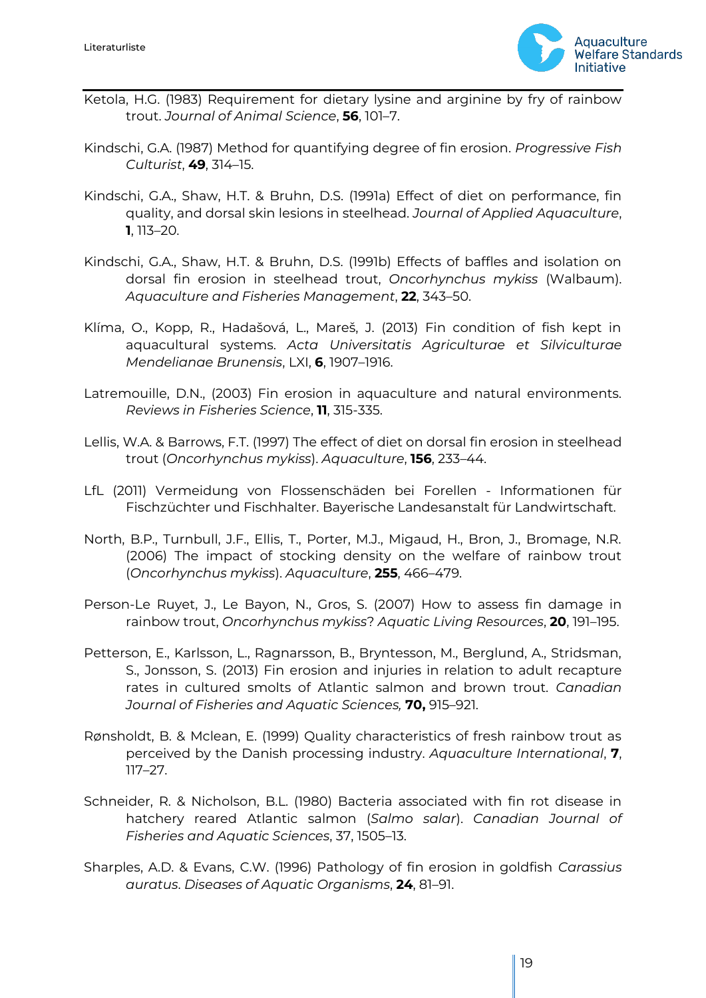

- Ketola, H.G. (1983) Requirement for dietary lysine and arginine by fry of rainbow trout. *Journal of Animal Science*, **56**, 101–7.
- Kindschi, G.A. (1987) Method for quantifying degree of fin erosion. *Progressive Fish Culturist*, **49**, 314–15.
- Kindschi, G.A., Shaw, H.T. & Bruhn, D.S. (1991a) Effect of diet on performance, fin quality, and dorsal skin lesions in steelhead. *Journal of Applied Aquaculture*, **1**, 113–20.
- Kindschi, G.A., Shaw, H.T. & Bruhn, D.S. (1991b) Effects of baffles and isolation on dorsal fin erosion in steelhead trout, *Oncorhynchus mykiss* (Walbaum). *Aquaculture and Fisheries Management*, **22**, 343–50.
- Klíma, O., Kopp, R., Hadašová, L., Mareš, J. (2013) Fin condition of fish kept in aquacultural systems. *Acta Universitatis Agriculturae et Silviculturae Mendelianae Brunensis*, LXI, **6**, 1907–1916.
- Latremouille, D.N., (2003) Fin erosion in aquaculture and natural environments. *Reviews in Fisheries Science*, **11**, 315-335.
- Lellis, W.A. & Barrows, F.T. (1997) The effect of diet on dorsal fin erosion in steelhead trout (*Oncorhynchus mykiss*). *Aquaculture*, **156**, 233–44.
- LfL (2011) Vermeidung von Flossenschäden bei Forellen Informationen für Fischzüchter und Fischhalter. Bayerische Landesanstalt für Landwirtschaft.
- North, B.P., Turnbull, J.F., Ellis, T., Porter, M.J., Migaud, H., Bron, J., Bromage, N.R. (2006) The impact of stocking density on the welfare of rainbow trout (*Oncorhynchus mykiss*). *Aquaculture*, **255**, 466–479.
- Person-Le Ruyet, J., Le Bayon, N., Gros, S. (2007) How to assess fin damage in rainbow trout, *Oncorhynchus mykiss*? *Aquatic Living Resources*, **20**, 191–195.
- Petterson, E., Karlsson, L., Ragnarsson, B., Bryntesson, M., Berglund, A., Stridsman, S., Jonsson, S. (2013) Fin erosion and injuries in relation to adult recapture rates in cultured smolts of Atlantic salmon and brown trout. *Canadian Journal of Fisheries and Aquatic Sciences,* **70,** 915–921.
- Rønsholdt, B. & Mclean, E. (1999) Quality characteristics of fresh rainbow trout as perceived by the Danish processing industry. *Aquaculture International*, **7**, 117–27.
- Schneider, R. & Nicholson, B.L. (1980) Bacteria associated with fin rot disease in hatchery reared Atlantic salmon (*Salmo salar*). *Canadian Journal of Fisheries and Aquatic Sciences*, 37, 1505–13.
- Sharples, A.D. & Evans, C.W. (1996) Pathology of fin erosion in goldfish *Carassius auratus*. *Diseases of Aquatic Organisms*, **24**, 81–91.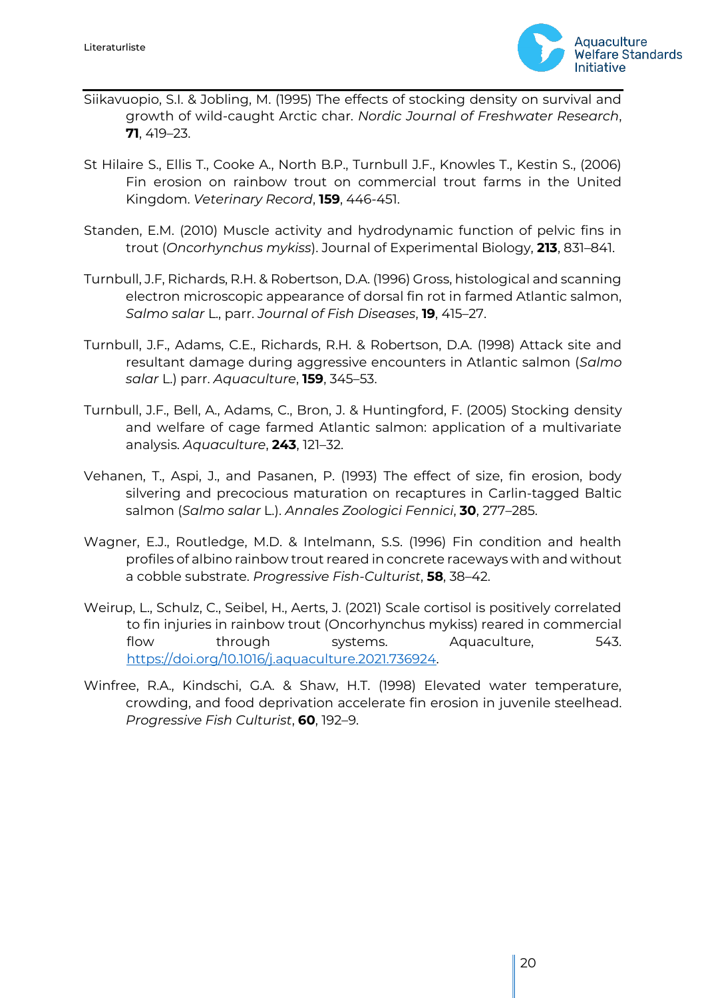

- Siikavuopio, S.I. & Jobling, M. (1995) The effects of stocking density on survival and growth of wild-caught Arctic char. *Nordic Journal of Freshwater Research*, **71**, 419–23.
- St Hilaire S., Ellis T., Cooke A., North B.P., Turnbull J.F., Knowles T., Kestin S., (2006) Fin erosion on rainbow trout on commercial trout farms in the United Kingdom. *Veterinary Record*, **159**, 446-451.
- Standen, E.M. (2010) Muscle activity and hydrodynamic function of pelvic fins in trout (*Oncorhynchus mykiss*). Journal of Experimental Biology, **213**, 831–841.
- Turnbull, J.F, Richards, R.H. & Robertson, D.A. (1996) Gross, histological and scanning electron microscopic appearance of dorsal fin rot in farmed Atlantic salmon, *Salmo salar* L., parr. *Journal of Fish Diseases*, **19**, 415–27.
- Turnbull, J.F., Adams, C.E., Richards, R.H. & Robertson, D.A. (1998) Attack site and resultant damage during aggressive encounters in Atlantic salmon (*Salmo salar* L.) parr. *Aquaculture*, **159**, 345–53.
- Turnbull, J.F., Bell, A., Adams, C., Bron, J. & Huntingford, F. (2005) Stocking density and welfare of cage farmed Atlantic salmon: application of a multivariate analysis. *Aquaculture*, **243**, 121–32.
- Vehanen, T., Aspi, J., and Pasanen, P. (1993) The effect of size, fin erosion, body silvering and precocious maturation on recaptures in Carlin-tagged Baltic salmon (*Salmo salar* L.). *Annales Zoologici Fennici*, **30**, 277–285.
- Wagner, E.J., Routledge, M.D. & Intelmann, S.S. (1996) Fin condition and health profiles of albino rainbow trout reared in concrete raceways with and without a cobble substrate. *Progressive Fish-Culturist*, **58**, 38–42.
- Weirup, L., Schulz, C., Seibel, H., Aerts, J. (2021) Scale cortisol is positively correlated to fin injuries in rainbow trout (Oncorhynchus mykiss) reared in commercial flow through systems. Aquaculture, 543. [https://doi.org/10.1016/j.aquaculture.2021.736924.](https://doi.org/10.1016/j.aquaculture.2021.736924)
- Winfree, R.A., Kindschi, G.A. & Shaw, H.T. (1998) Elevated water temperature, crowding, and food deprivation accelerate fin erosion in juvenile steelhead. *Progressive Fish Culturist*, **60**, 192–9.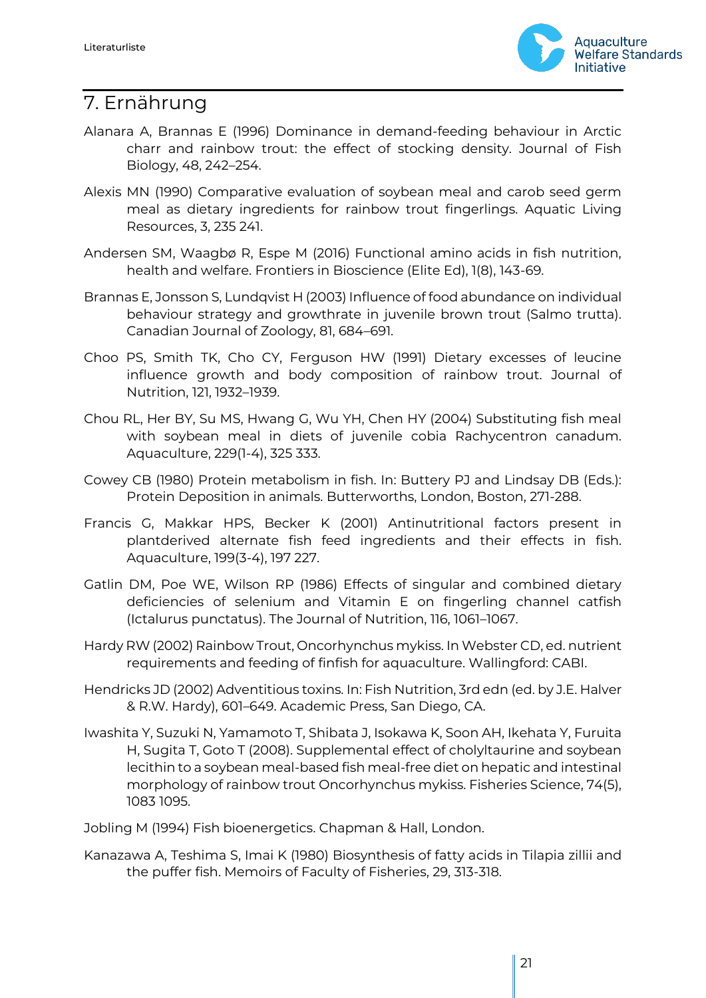

### <span id="page-20-0"></span>7. Ernährung

- Alanara A, Brannas E (1996) Dominance in demand-feeding behaviour in Arctic charr and rainbow trout: the effect of stocking density. Journal of Fish Biology, 48, 242–254.
- Alexis MN (1990) Comparative evaluation of soybean meal and carob seed germ meal as dietary ingredients for rainbow trout fingerlings. Aquatic Living Resources, 3, 235 241.
- Andersen SM, Waagbø R, Espe M (2016) Functional amino acids in fish nutrition, health and welfare. Frontiers in Bioscience (Elite Ed), 1(8), 143-69.
- Brannas E, Jonsson S, Lundqvist H (2003) Influence of food abundance on individual behaviour strategy and growthrate in juvenile brown trout (Salmo trutta). Canadian Journal of Zoology, 81, 684–691.
- Choo PS, Smith TK, Cho CY, Ferguson HW (1991) Dietary excesses of leucine influence growth and body composition of rainbow trout. Journal of Nutrition, 121, 1932–1939.
- Chou RL, Her BY, Su MS, Hwang G, Wu YH, Chen HY (2004) Substituting fish meal with soybean meal in diets of juvenile cobia Rachycentron canadum. Aquaculture, 229(1-4), 325 333.
- Cowey CB (1980) Protein metabolism in fish. In: Buttery PJ and Lindsay DB (Eds.): Protein Deposition in animals. Butterworths, London, Boston, 271-288.
- Francis G, Makkar HPS, Becker K (2001) Antinutritional factors present in plantderived alternate fish feed ingredients and their effects in fish. Aquaculture, 199(3-4), 197 227.
- Gatlin DM, Poe WE, Wilson RP (1986) Effects of singular and combined dietary deficiencies of selenium and Vitamin E on fingerling channel catfish (Ictalurus punctatus). The Journal of Nutrition, 116, 1061–1067.
- Hardy RW (2002) Rainbow Trout, Oncorhynchus mykiss. In Webster CD, ed. nutrient requirements and feeding of finfish for aquaculture. Wallingford: CABI.
- Hendricks JD (2002) Adventitious toxins. In: Fish Nutrition, 3rd edn (ed. by J.E. Halver & R.W. Hardy), 601–649. Academic Press, San Diego, CA.
- Iwashita Y, Suzuki N, Yamamoto T, Shibata J, Isokawa K, Soon AH, Ikehata Y, Furuita H, Sugita T, Goto T (2008). Supplemental effect of cholyltaurine and soybean lecithin to a soybean meal-based fish meal-free diet on hepatic and intestinal morphology of rainbow trout Oncorhynchus mykiss. Fisheries Science, 74(5), 1083 1095.
- Jobling M (1994) Fish bioenergetics. Chapman & Hall, London.
- Kanazawa A, Teshima S, Imai K (1980) Biosynthesis of fatty acids in Tilapia zillii and the puffer fish. Memoirs of Faculty of Fisheries, 29, 313-318.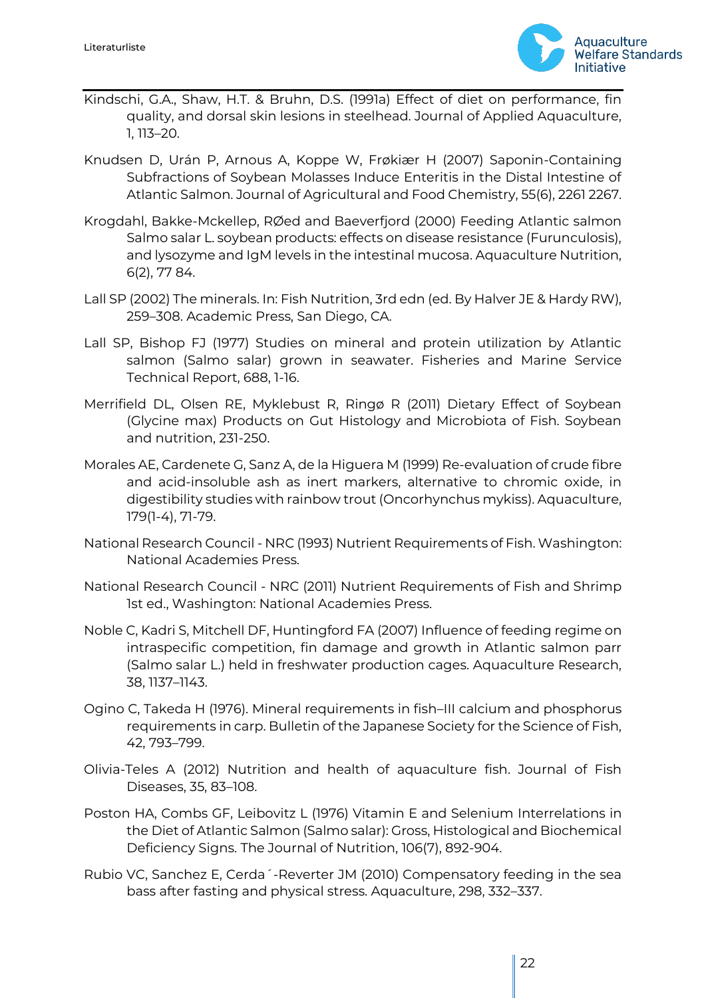

- Kindschi, G.A., Shaw, H.T. & Bruhn, D.S. (1991a) Effect of diet on performance, fin quality, and dorsal skin lesions in steelhead. Journal of Applied Aquaculture, 1, 113–20.
- Knudsen D, Urán P, Arnous A, Koppe W, Frøkiær H (2007) Saponin-Containing Subfractions of Soybean Molasses Induce Enteritis in the Distal Intestine of Atlantic Salmon. Journal of Agricultural and Food Chemistry, 55(6), 2261 2267.
- Krogdahl, Bakke-Mckellep, RØed and Baeverfjord (2000) Feeding Atlantic salmon Salmo salar L. soybean products: effects on disease resistance (Furunculosis), and lysozyme and IgM levels in the intestinal mucosa. Aquaculture Nutrition, 6(2), 77 84.
- Lall SP (2002) The minerals. In: Fish Nutrition, 3rd edn (ed. By Halver JE & Hardy RW), 259–308. Academic Press, San Diego, CA.
- Lall SP, Bishop FJ (1977) Studies on mineral and protein utilization by Atlantic salmon (Salmo salar) grown in seawater. Fisheries and Marine Service Technical Report, 688, 1-16.
- Merrifield DL, Olsen RE, Myklebust R, Ringø R (2011) Dietary Effect of Soybean (Glycine max) Products on Gut Histology and Microbiota of Fish. Soybean and nutrition, 231-250.
- Morales AE, Cardenete G, Sanz A, de la Higuera M (1999) Re-evaluation of crude fibre and acid-insoluble ash as inert markers, alternative to chromic oxide, in digestibility studies with rainbow trout (Oncorhynchus mykiss). Aquaculture, 179(1-4), 71-79.
- National Research Council NRC (1993) Nutrient Requirements of Fish. Washington: National Academies Press.
- National Research Council NRC (2011) Nutrient Requirements of Fish and Shrimp 1st ed., Washington: National Academies Press.
- Noble C, Kadri S, Mitchell DF, Huntingford FA (2007) Influence of feeding regime on intraspecific competition, fin damage and growth in Atlantic salmon parr (Salmo salar L.) held in freshwater production cages. Aquaculture Research, 38, 1137–1143.
- Ogino C, Takeda H (1976). Mineral requirements in fish–III calcium and phosphorus requirements in carp. Bulletin of the Japanese Society for the Science of Fish, 42, 793–799.
- Olivia-Teles A (2012) Nutrition and health of aquaculture fish. Journal of Fish Diseases, 35, 83–108.
- Poston HA, Combs GF, Leibovitz L (1976) Vitamin E and Selenium Interrelations in the Diet of Atlantic Salmon (Salmo salar): Gross, Histological and Biochemical Deficiency Signs. The Journal of Nutrition, 106(7), 892-904.
- Rubio VC, Sanchez E, Cerda´-Reverter JM (2010) Compensatory feeding in the sea bass after fasting and physical stress. Aquaculture, 298, 332–337.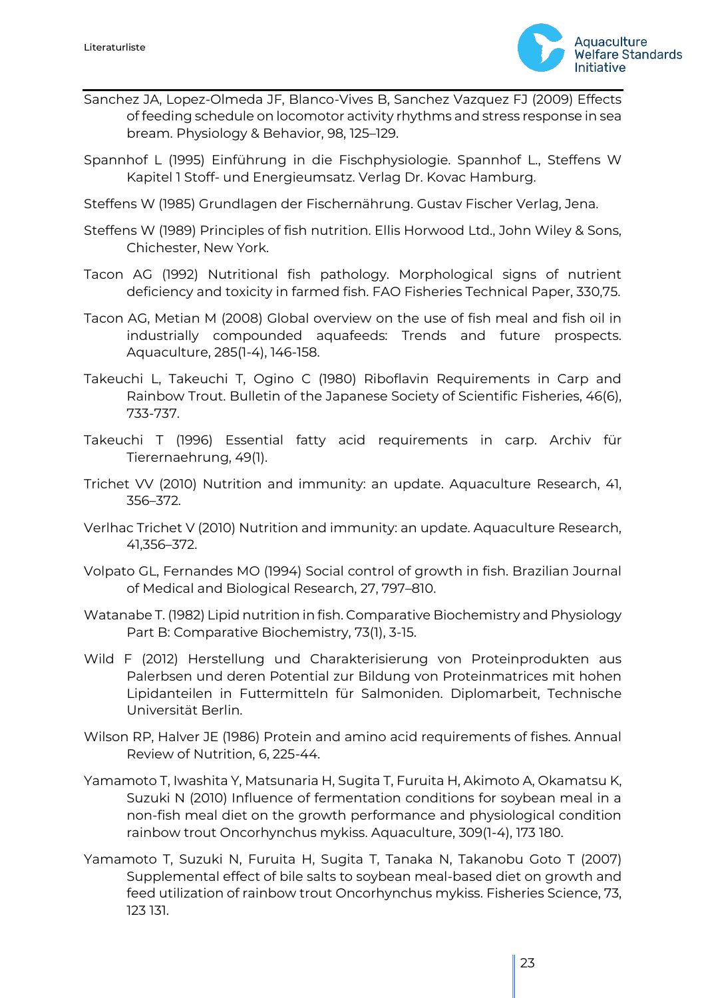

- Sanchez JA, Lopez-Olmeda JF, Blanco-Vives B, Sanchez Vazquez FJ (2009) Effects of feeding schedule on locomotor activity rhythms and stress response in sea bream. Physiology & Behavior, 98, 125–129.
- Spannhof L (1995) Einführung in die Fischphysiologie. Spannhof L., Steffens W Kapitel 1 Stoff- und Energieumsatz. Verlag Dr. Kovac Hamburg.
- Steffens W (1985) Grundlagen der Fischernährung. Gustav Fischer Verlag, Jena.
- Steffens W (1989) Principles of fish nutrition. Ellis Horwood Ltd., John Wiley & Sons, Chichester, New York.
- Tacon AG (1992) Nutritional fish pathology. Morphological signs of nutrient deficiency and toxicity in farmed fish. FAO Fisheries Technical Paper, 330,75.
- Tacon AG, Metian M (2008) Global overview on the use of fish meal and fish oil in industrially compounded aquafeeds: Trends and future prospects. Aquaculture, 285(1-4), 146-158.
- Takeuchi L, Takeuchi T, Ogino C (1980) Riboflavin Requirements in Carp and Rainbow Trout. Bulletin of the Japanese Society of Scientific Fisheries, 46(6), 733-737.
- Takeuchi T (1996) Essential fatty acid requirements in carp. Archiv für Tierernaehrung, 49(1).
- Trichet VV (2010) Nutrition and immunity: an update. Aquaculture Research, 41, 356–372.
- Verlhac Trichet V (2010) Nutrition and immunity: an update. Aquaculture Research, 41,356–372.
- Volpato GL, Fernandes MO (1994) Social control of growth in fish. Brazilian Journal of Medical and Biological Research, 27, 797–810.
- Watanabe T. (1982) Lipid nutrition in fish. Comparative Biochemistry and Physiology Part B: Comparative Biochemistry, 73(1), 3-15.
- Wild F (2012) Herstellung und Charakterisierung von Proteinprodukten aus Palerbsen und deren Potential zur Bildung von Proteinmatrices mit hohen Lipidanteilen in Futtermitteln für Salmoniden. Diplomarbeit, Technische Universität Berlin.
- Wilson RP, Halver JE (1986) Protein and amino acid requirements of fishes. Annual Review of Nutrition, 6, 225-44.
- Yamamoto T, Iwashita Y, Matsunaria H, Sugita T, Furuita H, Akimoto A, Okamatsu K, Suzuki N (2010) Influence of fermentation conditions for soybean meal in a non-fish meal diet on the growth performance and physiological condition rainbow trout Oncorhynchus mykiss. Aquaculture, 309(1-4), 173 180.
- Yamamoto T, Suzuki N, Furuita H, Sugita T, Tanaka N, Takanobu Goto T (2007) Supplemental effect of bile salts to soybean meal-based diet on growth and feed utilization of rainbow trout Oncorhynchus mykiss. Fisheries Science, 73, 123 131.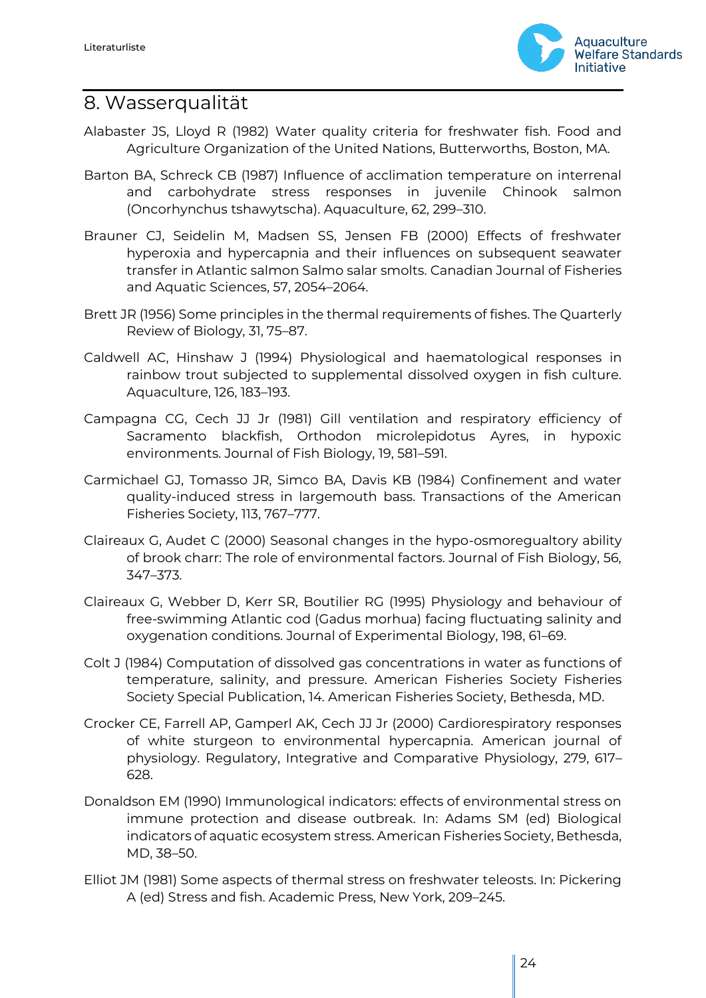

### <span id="page-23-0"></span>8. Wasserqualität

- Alabaster JS, Lloyd R (1982) Water quality criteria for freshwater fish. Food and Agriculture Organization of the United Nations, Butterworths, Boston, MA.
- Barton BA, Schreck CB (1987) Influence of acclimation temperature on interrenal and carbohydrate stress responses in juvenile Chinook salmon (Oncorhynchus tshawytscha). Aquaculture, 62, 299–310.
- Brauner CJ, Seidelin M, Madsen SS, Jensen FB (2000) Effects of freshwater hyperoxia and hypercapnia and their influences on subsequent seawater transfer in Atlantic salmon Salmo salar smolts. Canadian Journal of Fisheries and Aquatic Sciences, 57, 2054–2064.
- Brett JR (1956) Some principles in the thermal requirements of fishes. The Quarterly Review of Biology, 31, 75–87.
- Caldwell AC, Hinshaw J (1994) Physiological and haematological responses in rainbow trout subjected to supplemental dissolved oxygen in fish culture. Aquaculture, 126, 183–193.
- Campagna CG, Cech JJ Jr (1981) Gill ventilation and respiratory efficiency of Sacramento blackfish, Orthodon microlepidotus Ayres, in hypoxic environments. Journal of Fish Biology, 19, 581–591.
- Carmichael GJ, Tomasso JR, Simco BA, Davis KB (1984) Confinement and water quality-induced stress in largemouth bass. Transactions of the American Fisheries Society, 113, 767–777.
- Claireaux G, Audet C (2000) Seasonal changes in the hypo-osmoregualtory ability of brook charr: The role of environmental factors. Journal of Fish Biology, 56, 347–373.
- Claireaux G, Webber D, Kerr SR, Boutilier RG (1995) Physiology and behaviour of free-swimming Atlantic cod (Gadus morhua) facing fluctuating salinity and oxygenation conditions. Journal of Experimental Biology, 198, 61–69.
- Colt J (1984) Computation of dissolved gas concentrations in water as functions of temperature, salinity, and pressure. American Fisheries Society Fisheries Society Special Publication, 14. American Fisheries Society, Bethesda, MD.
- Crocker CE, Farrell AP, Gamperl AK, Cech JJ Jr (2000) Cardiorespiratory responses of white sturgeon to environmental hypercapnia. American journal of physiology. Regulatory, Integrative and Comparative Physiology, 279, 617– 628.
- Donaldson EM (1990) Immunological indicators: effects of environmental stress on immune protection and disease outbreak. In: Adams SM (ed) Biological indicators of aquatic ecosystem stress. American Fisheries Society, Bethesda, MD, 38–50.
- Elliot JM (1981) Some aspects of thermal stress on freshwater teleosts. In: Pickering A (ed) Stress and fish. Academic Press, New York, 209–245.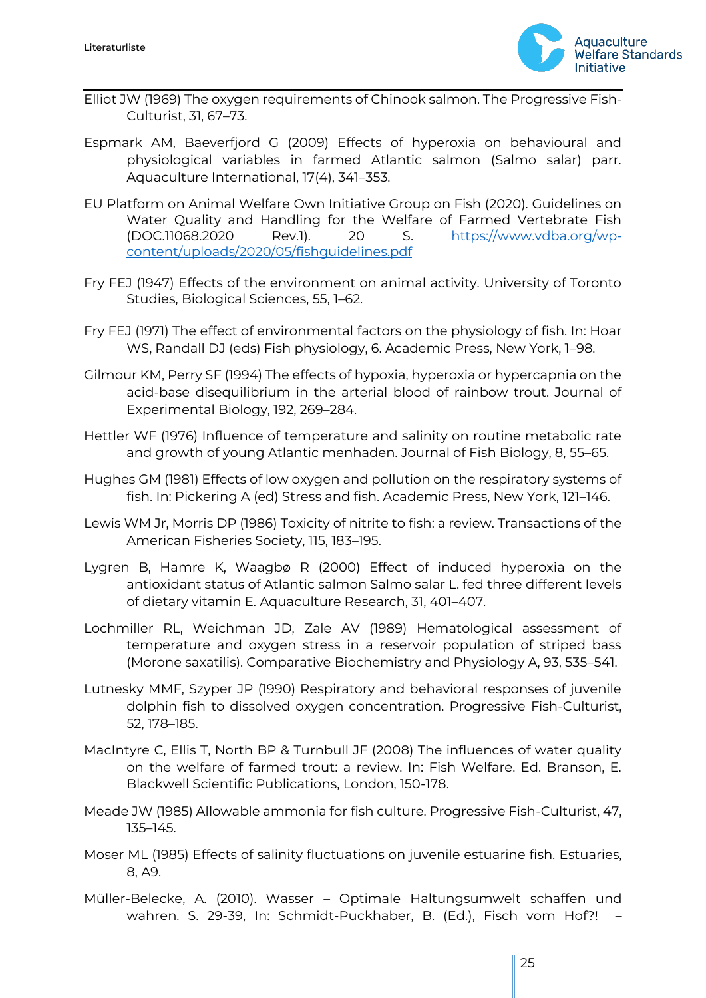

- Elliot JW (1969) The oxygen requirements of Chinook salmon. The Progressive Fish-Culturist, 31, 67–73.
- Espmark AM, Baeverfjord G (2009) Effects of hyperoxia on behavioural and physiological variables in farmed Atlantic salmon (Salmo salar) parr. Aquaculture International, 17(4), 341–353.
- EU Platform on Animal Welfare Own Initiative Group on Fish (2020). Guidelines on Water Quality and Handling for the Welfare of Farmed Vertebrate Fish (DOC.11068.2020 Rev.1). 20 S. [https://www.vdba.org/wp](https://www.vdba.org/wp-content/uploads/2020/05/fishguidelines.pdf)[content/uploads/2020/05/fishguidelines.pdf](https://www.vdba.org/wp-content/uploads/2020/05/fishguidelines.pdf)
- Fry FEJ (1947) Effects of the environment on animal activity. University of Toronto Studies, Biological Sciences, 55, 1–62.
- Fry FEJ (1971) The effect of environmental factors on the physiology of fish. In: Hoar WS, Randall DJ (eds) Fish physiology, 6. Academic Press, New York, 1–98.
- Gilmour KM, Perry SF (1994) The effects of hypoxia, hyperoxia or hypercapnia on the acid-base disequilibrium in the arterial blood of rainbow trout. Journal of Experimental Biology, 192, 269–284.
- Hettler WF (1976) Influence of temperature and salinity on routine metabolic rate and growth of young Atlantic menhaden. Journal of Fish Biology, 8, 55–65.
- Hughes GM (1981) Effects of low oxygen and pollution on the respiratory systems of fish. In: Pickering A (ed) Stress and fish. Academic Press, New York, 121–146.
- Lewis WM Jr, Morris DP (1986) Toxicity of nitrite to fish: a review. Transactions of the American Fisheries Society, 115, 183–195.
- Lygren B, Hamre K, Waagbø R (2000) Effect of induced hyperoxia on the antioxidant status of Atlantic salmon Salmo salar L. fed three different levels of dietary vitamin E. Aquaculture Research, 31, 401–407.
- Lochmiller RL, Weichman JD, Zale AV (1989) Hematological assessment of temperature and oxygen stress in a reservoir population of striped bass (Morone saxatilis). Comparative Biochemistry and Physiology A, 93, 535–541.
- Lutnesky MMF, Szyper JP (1990) Respiratory and behavioral responses of juvenile dolphin fish to dissolved oxygen concentration. Progressive Fish-Culturist, 52, 178–185.
- MacIntyre C, Ellis T, North BP & Turnbull JF (2008) The influences of water quality on the welfare of farmed trout: a review. In: Fish Welfare. Ed. Branson, E. Blackwell Scientific Publications, London, 150-178.
- Meade JW (1985) Allowable ammonia for fish culture. Progressive Fish-Culturist, 47, 135–145.
- Moser ML (1985) Effects of salinity fluctuations on juvenile estuarine fish. Estuaries, 8, A9.
- Müller-Belecke, A. (2010). Wasser Optimale Haltungsumwelt schaffen und wahren. S. 29-39, In: Schmidt-Puckhaber, B. (Ed.), Fisch vom Hof?! –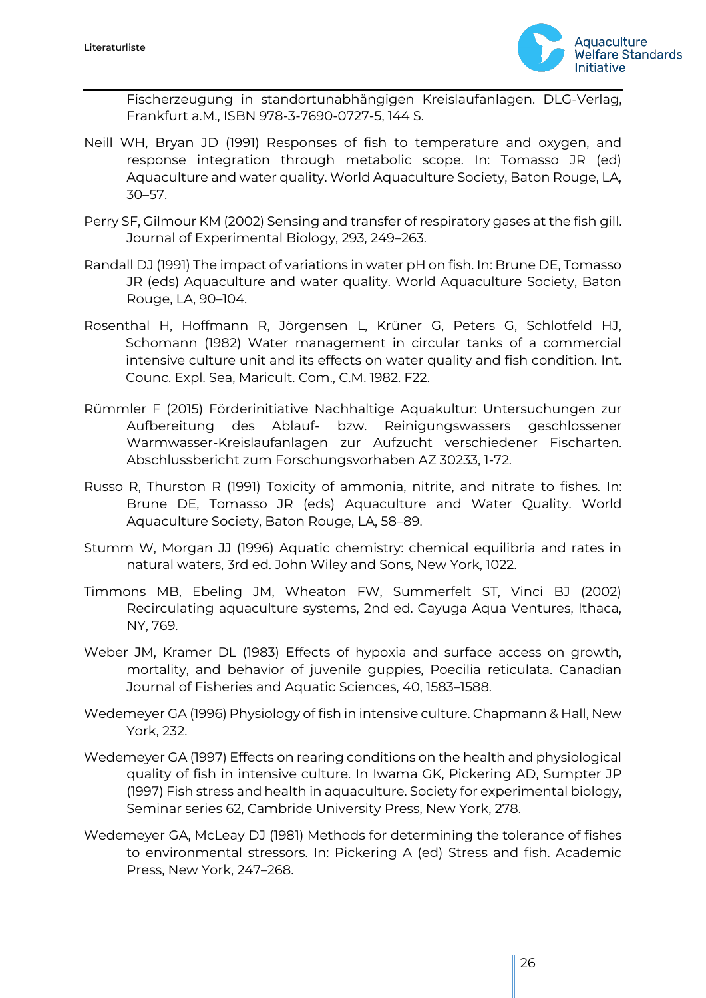

Fischerzeugung in standortunabhängigen Kreislaufanlagen. DLG-Verlag, Frankfurt a.M., ISBN 978-3-7690-0727-5, 144 S.

- Neill WH, Bryan JD (1991) Responses of fish to temperature and oxygen, and response integration through metabolic scope. In: Tomasso JR (ed) Aquaculture and water quality. World Aquaculture Society, Baton Rouge, LA, 30–57.
- Perry SF, Gilmour KM (2002) Sensing and transfer of respiratory gases at the fish gill. Journal of Experimental Biology, 293, 249–263.
- Randall DJ (1991) The impact of variations in water pH on fish. In: Brune DE, Tomasso JR (eds) Aquaculture and water quality. World Aquaculture Society, Baton Rouge, LA, 90–104.
- Rosenthal H, Hoffmann R, Jörgensen L, Krüner G, Peters G, Schlotfeld HJ, Schomann (1982) Water management in circular tanks of a commercial intensive culture unit and its effects on water quality and fish condition. Int. Counc. Expl. Sea, Maricult. Com., C.M. 1982. F22.
- Rümmler F (2015) Förderinitiative Nachhaltige Aquakultur: Untersuchungen zur Aufbereitung des Ablauf- bzw. Reinigungswassers geschlossener Warmwasser-Kreislaufanlagen zur Aufzucht verschiedener Fischarten. Abschlussbericht zum Forschungsvorhaben AZ 30233, 1-72.
- Russo R, Thurston R (1991) Toxicity of ammonia, nitrite, and nitrate to fishes. In: Brune DE, Tomasso JR (eds) Aquaculture and Water Quality. World Aquaculture Society, Baton Rouge, LA, 58–89.
- Stumm W, Morgan JJ (1996) Aquatic chemistry: chemical equilibria and rates in natural waters, 3rd ed. John Wiley and Sons, New York, 1022.
- Timmons MB, Ebeling JM, Wheaton FW, Summerfelt ST, Vinci BJ (2002) Recirculating aquaculture systems, 2nd ed. Cayuga Aqua Ventures, Ithaca, NY, 769.
- Weber JM, Kramer DL (1983) Effects of hypoxia and surface access on growth, mortality, and behavior of juvenile guppies, Poecilia reticulata. Canadian Journal of Fisheries and Aquatic Sciences, 40, 1583–1588.
- Wedemeyer GA (1996) Physiology of fish in intensive culture. Chapmann & Hall, New York, 232.
- Wedemeyer GA (1997) Effects on rearing conditions on the health and physiological quality of fish in intensive culture. In Iwama GK, Pickering AD, Sumpter JP (1997) Fish stress and health in aquaculture. Society for experimental biology, Seminar series 62, Cambride University Press, New York, 278.
- Wedemeyer GA, McLeay DJ (1981) Methods for determining the tolerance of fishes to environmental stressors. In: Pickering A (ed) Stress and fish. Academic Press, New York, 247–268.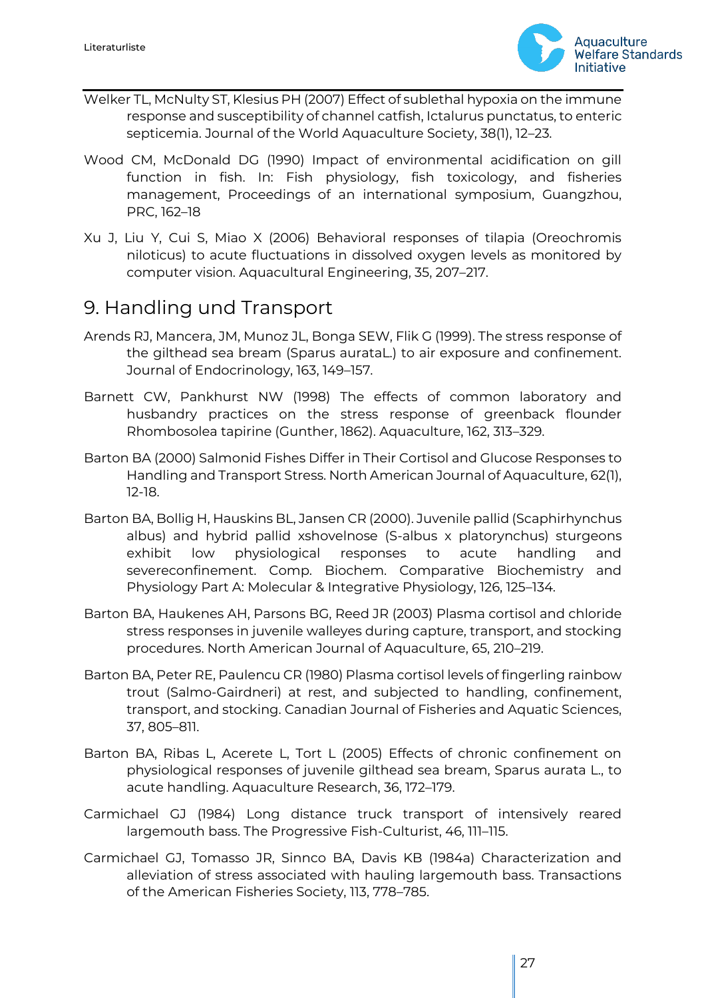

- Welker TL, McNulty ST, Klesius PH (2007) Effect of sublethal hypoxia on the immune response and susceptibility of channel catfish, Ictalurus punctatus, to enteric septicemia. Journal of the World Aquaculture Society, 38(1), 12–23.
- Wood CM, McDonald DG (1990) Impact of environmental acidification on gill function in fish. In: Fish physiology, fish toxicology, and fisheries management, Proceedings of an international symposium, Guangzhou, PRC, 162–18
- Xu J, Liu Y, Cui S, Miao X (2006) Behavioral responses of tilapia (Oreochromis niloticus) to acute fluctuations in dissolved oxygen levels as monitored by computer vision. Aquacultural Engineering, 35, 207–217.

### <span id="page-26-0"></span>9. Handling und Transport

- Arends RJ, Mancera, JM, Munoz JL, Bonga SEW, Flik G (1999). The stress response of the gilthead sea bream (Sparus aurataL.) to air exposure and confinement. Journal of Endocrinology, 163, 149–157.
- Barnett CW, Pankhurst NW (1998) The effects of common laboratory and husbandry practices on the stress response of greenback flounder Rhombosolea tapirine (Gunther, 1862). Aquaculture, 162, 313–329.
- Barton BA (2000) Salmonid Fishes Differ in Their Cortisol and Glucose Responses to Handling and Transport Stress. North American Journal of Aquaculture, 62(1), 12-18.
- Barton BA, Bollig H, Hauskins BL, Jansen CR (2000). Juvenile pallid (Scaphirhynchus albus) and hybrid pallid xshovelnose (S-albus x platorynchus) sturgeons exhibit low physiological responses to acute handling and severeconfinement. Comp. Biochem. Comparative Biochemistry and Physiology Part A: Molecular & Integrative Physiology, 126, 125–134.
- Barton BA, Haukenes AH, Parsons BG, Reed JR (2003) Plasma cortisol and chloride stress responses in juvenile walleyes during capture, transport, and stocking procedures. North American Journal of Aquaculture, 65, 210–219.
- Barton BA, Peter RE, Paulencu CR (1980) Plasma cortisol levels of fingerling rainbow trout (Salmo-Gairdneri) at rest, and subjected to handling, confinement, transport, and stocking. Canadian Journal of Fisheries and Aquatic Sciences, 37, 805–811.
- Barton BA, Ribas L, Acerete L, Tort L (2005) Effects of chronic confinement on physiological responses of juvenile gilthead sea bream, Sparus aurata L., to acute handling. Aquaculture Research, 36, 172–179.
- Carmichael GJ (1984) Long distance truck transport of intensively reared largemouth bass. The Progressive Fish-Culturist, 46, 111–115.
- Carmichael GJ, Tomasso JR, Sinnco BA, Davis KB (1984a) Characterization and alleviation of stress associated with hauling largemouth bass. Transactions of the American Fisheries Society, 113, 778–785.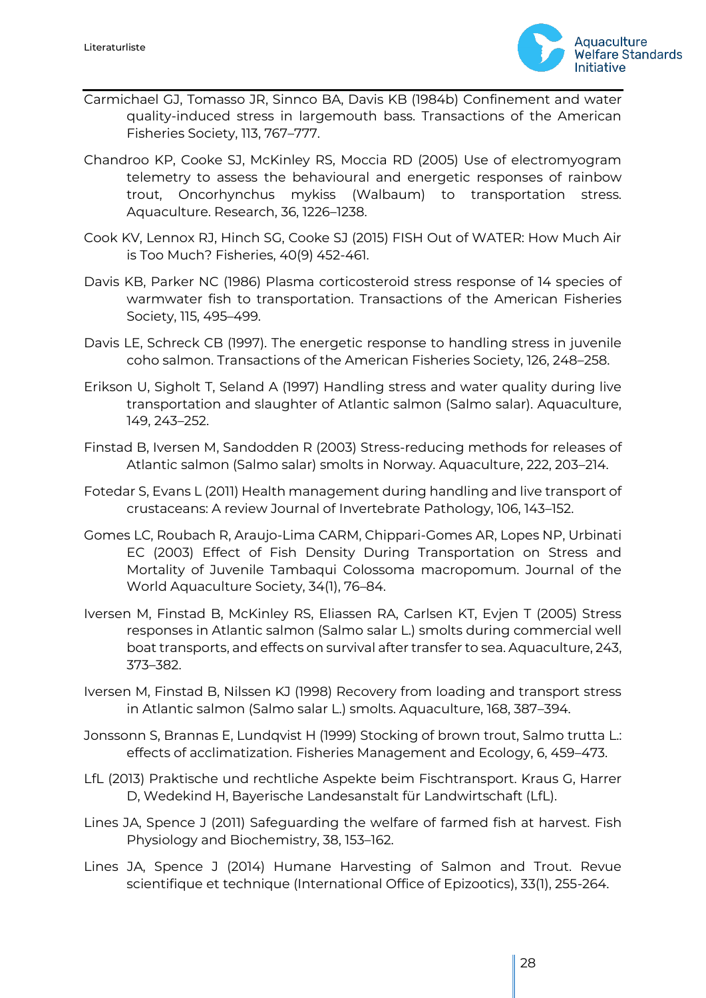

- Carmichael GJ, Tomasso JR, Sinnco BA, Davis KB (1984b) Confinement and water quality-induced stress in largemouth bass. Transactions of the American Fisheries Society, 113, 767–777.
- Chandroo KP, Cooke SJ, McKinley RS, Moccia RD (2005) Use of electromyogram telemetry to assess the behavioural and energetic responses of rainbow trout, Oncorhynchus mykiss (Walbaum) to transportation stress. Aquaculture. Research, 36, 1226–1238.
- Cook KV, Lennox RJ, Hinch SG, Cooke SJ (2015) FISH Out of WATER: How Much Air is Too Much? Fisheries, 40(9) 452-461.
- Davis KB, Parker NC (1986) Plasma corticosteroid stress response of 14 species of warmwater fish to transportation. Transactions of the American Fisheries Society, 115, 495–499.
- Davis LE, Schreck CB (1997). The energetic response to handling stress in juvenile coho salmon. Transactions of the American Fisheries Society, 126, 248–258.
- Erikson U, Sigholt T, Seland A (1997) Handling stress and water quality during live transportation and slaughter of Atlantic salmon (Salmo salar). Aquaculture, 149, 243–252.
- Finstad B, Iversen M, Sandodden R (2003) Stress-reducing methods for releases of Atlantic salmon (Salmo salar) smolts in Norway. Aquaculture, 222, 203–214.
- Fotedar S, Evans L (2011) Health management during handling and live transport of crustaceans: A review Journal of Invertebrate Pathology, 106, 143–152.
- Gomes LC, Roubach R, Araujo-Lima CARM, Chippari-Gomes AR, Lopes NP, Urbinati EC (2003) Effect of Fish Density During Transportation on Stress and Mortality of Juvenile Tambaqui Colossoma macropomum. Journal of the World Aquaculture Society, 34(1), 76–84.
- Iversen M, Finstad B, McKinley RS, Eliassen RA, Carlsen KT, Evjen T (2005) Stress responses in Atlantic salmon (Salmo salar L.) smolts during commercial well boat transports, and effects on survival after transfer to sea. Aquaculture, 243, 373–382.
- Iversen M, Finstad B, Nilssen KJ (1998) Recovery from loading and transport stress in Atlantic salmon (Salmo salar L.) smolts. Aquaculture, 168, 387–394.
- Jonssonn S, Brannas E, Lundqvist H (1999) Stocking of brown trout, Salmo trutta L.: effects of acclimatization. Fisheries Management and Ecology, 6, 459–473.
- LfL (2013) Praktische und rechtliche Aspekte beim Fischtransport. Kraus G, Harrer D, Wedekind H, Bayerische Landesanstalt für Landwirtschaft (LfL).
- Lines JA, Spence J (2011) Safeguarding the welfare of farmed fish at harvest. Fish Physiology and Biochemistry, 38, 153–162.
- Lines JA, Spence J (2014) Humane Harvesting of Salmon and Trout. Revue scientifique et technique (International Office of Epizootics), 33(1), 255-264.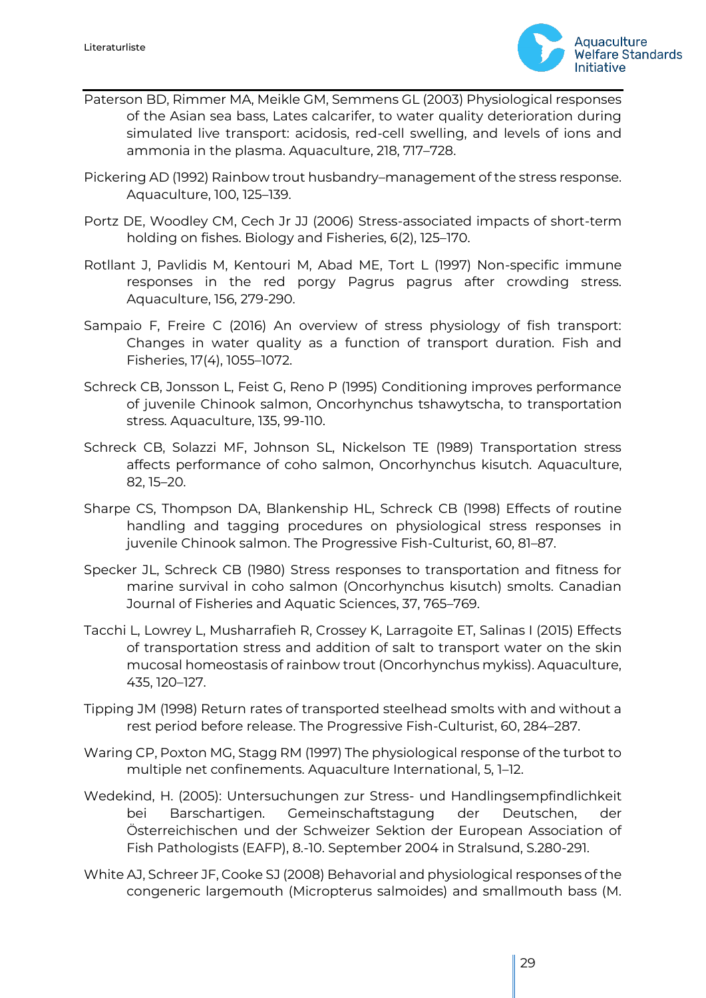

- Paterson BD, Rimmer MA, Meikle GM, Semmens GL (2003) Physiological responses of the Asian sea bass, Lates calcarifer, to water quality deterioration during simulated live transport: acidosis, red-cell swelling, and levels of ions and ammonia in the plasma. Aquaculture, 218, 717–728.
- Pickering AD (1992) Rainbow trout husbandry–management of the stress response. Aquaculture, 100, 125–139.
- Portz DE, Woodley CM, Cech Jr JJ (2006) Stress-associated impacts of short-term holding on fishes. Biology and Fisheries, 6(2), 125–170.
- Rotllant J, Pavlidis M, Kentouri M, Abad ME, Tort L (1997) Non-specific immune responses in the red porgy Pagrus pagrus after crowding stress. Aquaculture, 156, 279-290.
- Sampaio F, Freire C (2016) An overview of stress physiology of fish transport: Changes in water quality as a function of transport duration. Fish and Fisheries, 17(4), 1055–1072.
- Schreck CB, Jonsson L, Feist G, Reno P (1995) Conditioning improves performance of juvenile Chinook salmon, Oncorhynchus tshawytscha, to transportation stress. Aquaculture, 135, 99-110.
- Schreck CB, Solazzi MF, Johnson SL, Nickelson TE (1989) Transportation stress affects performance of coho salmon, Oncorhynchus kisutch. Aquaculture, 82, 15–20.
- Sharpe CS, Thompson DA, Blankenship HL, Schreck CB (1998) Effects of routine handling and tagging procedures on physiological stress responses in juvenile Chinook salmon. The Progressive Fish-Culturist, 60, 81–87.
- Specker JL, Schreck CB (1980) Stress responses to transportation and fitness for marine survival in coho salmon (Oncorhynchus kisutch) smolts. Canadian Journal of Fisheries and Aquatic Sciences, 37, 765–769.
- Tacchi L, Lowrey L, Musharrafieh R, Crossey K, Larragoite ET, Salinas I (2015) Effects of transportation stress and addition of salt to transport water on the skin mucosal homeostasis of rainbow trout (Oncorhynchus mykiss). Aquaculture, 435, 120–127.
- Tipping JM (1998) Return rates of transported steelhead smolts with and without a rest period before release. The Progressive Fish-Culturist, 60, 284–287.
- Waring CP, Poxton MG, Stagg RM (1997) The physiological response of the turbot to multiple net confinements. Aquaculture International, 5, 1–12.
- Wedekind, H. (2005): Untersuchungen zur Stress- und Handlingsempfindlichkeit bei Barschartigen. Gemeinschaftstagung der Deutschen, der Österreichischen und der Schweizer Sektion der European Association of Fish Pathologists (EAFP), 8.-10. September 2004 in Stralsund, S.280-291.
- White AJ, Schreer JF, Cooke SJ (2008) Behavorial and physiological responses of the congeneric largemouth (Micropterus salmoides) and smallmouth bass (M.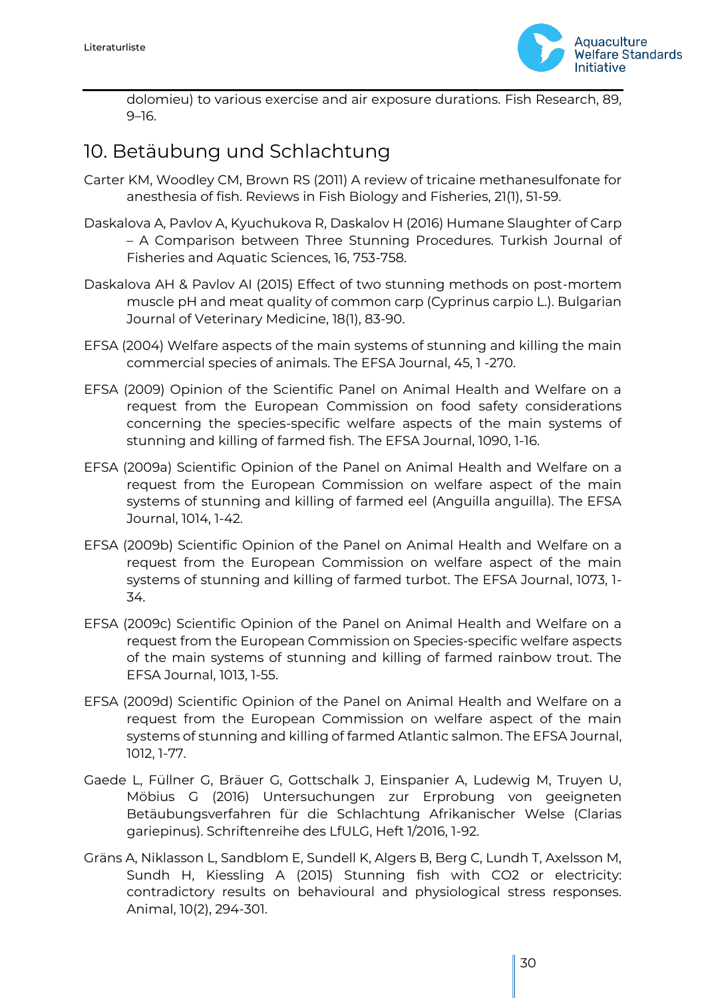

dolomieu) to various exercise and air exposure durations. Fish Research, 89, 9–16.

## <span id="page-29-0"></span>10. Betäubung und Schlachtung

- Carter KM, Woodley CM, Brown RS (2011) A review of tricaine methanesulfonate for anesthesia of fish. Reviews in Fish Biology and Fisheries, 21(1), 51-59.
- Daskalova A, Pavlov A, Kyuchukova R, Daskalov H (2016) Humane Slaughter of Carp – A Comparison between Three Stunning Procedures. Turkish Journal of Fisheries and Aquatic Sciences, 16, 753-758.
- Daskalova AH & Pavlov AI (2015) Effect of two stunning methods on post-mortem muscle pH and meat quality of common carp (Cyprinus carpio L.). Bulgarian Journal of Veterinary Medicine, 18(1), 83-90.
- EFSA (2004) Welfare aspects of the main systems of stunning and killing the main commercial species of animals. The EFSA Journal, 45, 1 -270.
- EFSA (2009) Opinion of the Scientific Panel on Animal Health and Welfare on a request from the European Commission on food safety considerations concerning the species-specific welfare aspects of the main systems of stunning and killing of farmed fish. The EFSA Journal, 1090, 1-16.
- EFSA (2009a) Scientific Opinion of the Panel on Animal Health and Welfare on a request from the European Commission on welfare aspect of the main systems of stunning and killing of farmed eel (Anguilla anguilla). The EFSA Journal, 1014, 1-42.
- EFSA (2009b) Scientific Opinion of the Panel on Animal Health and Welfare on a request from the European Commission on welfare aspect of the main systems of stunning and killing of farmed turbot. The EFSA Journal, 1073, 1- 34.
- EFSA (2009c) Scientific Opinion of the Panel on Animal Health and Welfare on a request from the European Commission on Species-specific welfare aspects of the main systems of stunning and killing of farmed rainbow trout. The EFSA Journal, 1013, 1-55.
- EFSA (2009d) Scientific Opinion of the Panel on Animal Health and Welfare on a request from the European Commission on welfare aspect of the main systems of stunning and killing of farmed Atlantic salmon. The EFSA Journal, 1012, 1-77.
- Gaede L, Füllner G, Bräuer G, Gottschalk J, Einspanier A, Ludewig M, Truyen U, Möbius G (2016) Untersuchungen zur Erprobung von geeigneten Betäubungsverfahren für die Schlachtung Afrikanischer Welse (Clarias gariepinus). Schriftenreihe des LfULG, Heft 1/2016, 1-92.
- Gräns A, Niklasson L, Sandblom E, Sundell K, Algers B, Berg C, Lundh T, Axelsson M, Sundh H, Kiessling A (2015) Stunning fish with CO2 or electricity: contradictory results on behavioural and physiological stress responses. Animal, 10(2), 294-301.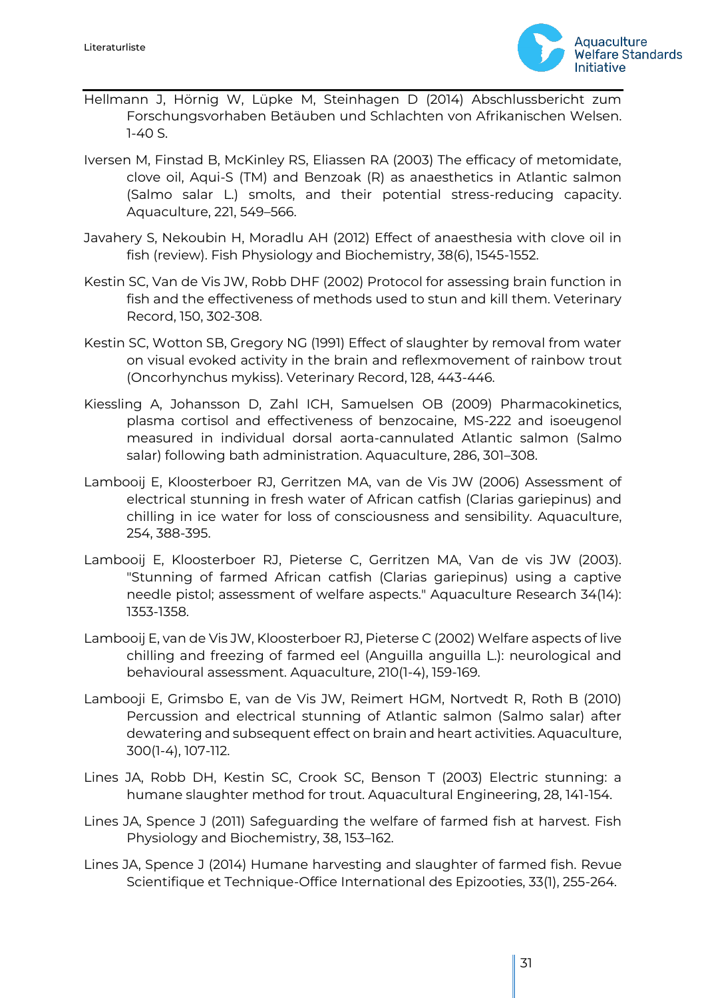

- Hellmann J, Hörnig W, Lüpke M, Steinhagen D (2014) Abschlussbericht zum Forschungsvorhaben Betäuben und Schlachten von Afrikanischen Welsen. 1-40 S.
- Iversen M, Finstad B, McKinley RS, Eliassen RA (2003) The efficacy of metomidate, clove oil, Aqui-S (TM) and Benzoak (R) as anaesthetics in Atlantic salmon (Salmo salar L.) smolts, and their potential stress-reducing capacity. Aquaculture, 221, 549–566.
- Javahery S, Nekoubin H, Moradlu AH (2012) Effect of anaesthesia with clove oil in fish (review). Fish Physiology and Biochemistry, 38(6), 1545-1552.
- Kestin SC, Van de Vis JW, Robb DHF (2002) Protocol for assessing brain function in fish and the effectiveness of methods used to stun and kill them. Veterinary Record, 150, 302-308.
- Kestin SC, Wotton SB, Gregory NG (1991) Effect of slaughter by removal from water on visual evoked activity in the brain and reflexmovement of rainbow trout (Oncorhynchus mykiss). Veterinary Record, 128, 443-446.
- Kiessling A, Johansson D, Zahl ICH, Samuelsen OB (2009) Pharmacokinetics, plasma cortisol and effectiveness of benzocaine, MS-222 and isoeugenol measured in individual dorsal aorta-cannulated Atlantic salmon (Salmo salar) following bath administration. Aquaculture, 286, 301–308.
- Lambooij E, Kloosterboer RJ, Gerritzen MA, van de Vis JW (2006) Assessment of electrical stunning in fresh water of African catfish (Clarias gariepinus) and chilling in ice water for loss of consciousness and sensibility. Aquaculture, 254, 388-395.
- Lambooij E, Kloosterboer RJ, Pieterse C, Gerritzen MA, Van de vis JW (2003). "Stunning of farmed African catfish (Clarias gariepinus) using a captive needle pistol; assessment of welfare aspects." Aquaculture Research 34(14): 1353-1358.
- Lambooij E, van de Vis JW, Kloosterboer RJ, Pieterse C (2002) Welfare aspects of live chilling and freezing of farmed eel (Anguilla anguilla L.): neurological and behavioural assessment. Aquaculture, 210(1-4), 159-169.
- Lambooji E, Grimsbo E, van de Vis JW, Reimert HGM, Nortvedt R, Roth B (2010) Percussion and electrical stunning of Atlantic salmon (Salmo salar) after dewatering and subsequent effect on brain and heart activities. Aquaculture, 300(1-4), 107-112.
- Lines JA, Robb DH, Kestin SC, Crook SC, Benson T (2003) Electric stunning: a humane slaughter method for trout. Aquacultural Engineering, 28, 141-154.
- Lines JA, Spence J (2011) Safeguarding the welfare of farmed fish at harvest. Fish Physiology and Biochemistry, 38, 153–162.
- Lines JA, Spence J (2014) Humane harvesting and slaughter of farmed fish. Revue Scientifique et Technique-Office International des Epizooties, 33(1), 255-264.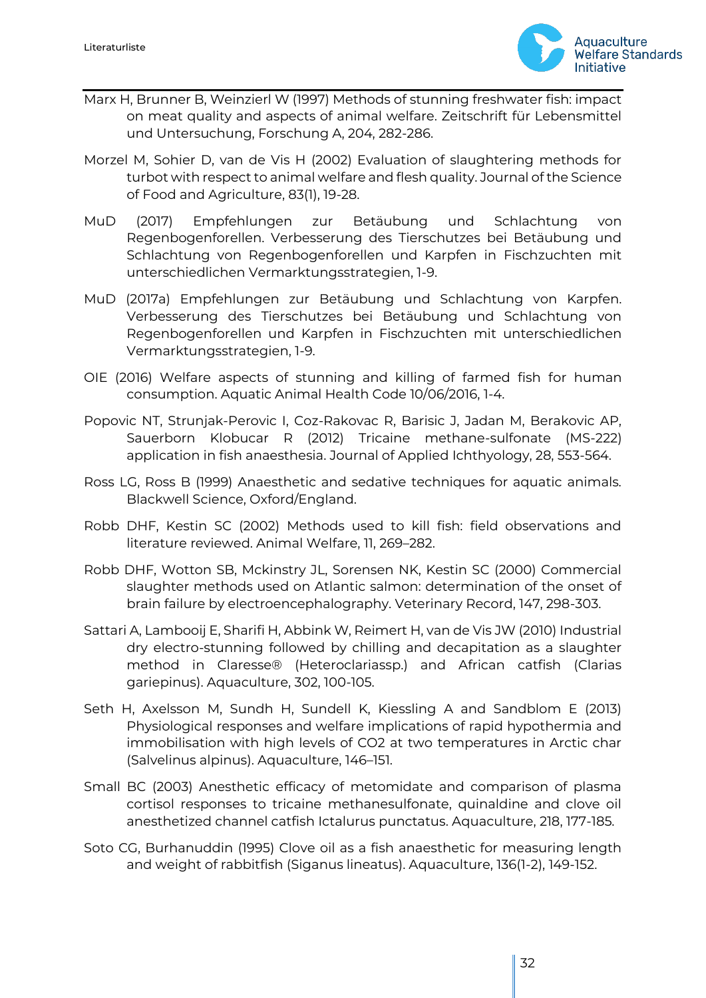

- Marx H, Brunner B, Weinzierl W (1997) Methods of stunning freshwater fish: impact on meat quality and aspects of animal welfare. Zeitschrift für Lebensmittel und Untersuchung, Forschung A, 204, 282-286.
- Morzel M, Sohier D, van de Vis H (2002) Evaluation of slaughtering methods for turbot with respect to animal welfare and flesh quality. Journal of the Science of Food and Agriculture, 83(1), 19-28.
- MuD (2017) Empfehlungen zur Betäubung und Schlachtung von Regenbogenforellen. Verbesserung des Tierschutzes bei Betäubung und Schlachtung von Regenbogenforellen und Karpfen in Fischzuchten mit unterschiedlichen Vermarktungsstrategien, 1-9.
- MuD (2017a) Empfehlungen zur Betäubung und Schlachtung von Karpfen. Verbesserung des Tierschutzes bei Betäubung und Schlachtung von Regenbogenforellen und Karpfen in Fischzuchten mit unterschiedlichen Vermarktungsstrategien, 1-9.
- OIE (2016) Welfare aspects of stunning and killing of farmed fish for human consumption. Aquatic Animal Health Code 10/06/2016, 1-4.
- Popovic NT, Strunjak-Perovic I, Coz-Rakovac R, Barisic J, Jadan M, Berakovic AP, Sauerborn Klobucar R (2012) Tricaine methane-sulfonate (MS-222) application in fish anaesthesia. Journal of Applied Ichthyology, 28, 553-564.
- Ross LG, Ross B (1999) Anaesthetic and sedative techniques for aquatic animals. Blackwell Science, Oxford/England.
- Robb DHF, Kestin SC (2002) Methods used to kill fish: field observations and literature reviewed. Animal Welfare, 11, 269–282.
- Robb DHF, Wotton SB, Mckinstry JL, Sorensen NK, Kestin SC (2000) Commercial slaughter methods used on Atlantic salmon: determination of the onset of brain failure by electroencephalography. Veterinary Record, 147, 298-303.
- Sattari A, Lambooij E, Sharifi H, Abbink W, Reimert H, van de Vis JW (2010) Industrial dry electro-stunning followed by chilling and decapitation as a slaughter method in Claresse® (Heteroclariassp.) and African catfish (Clarias gariepinus). Aquaculture, 302, 100-105.
- Seth H, Axelsson M, Sundh H, Sundell K, Kiessling A and Sandblom E (2013) Physiological responses and welfare implications of rapid hypothermia and immobilisation with high levels of CO2 at two temperatures in Arctic char (Salvelinus alpinus). Aquaculture, 146–151.
- Small BC (2003) Anesthetic efficacy of metomidate and comparison of plasma cortisol responses to tricaine methanesulfonate, quinaldine and clove oil anesthetized channel catfish Ictalurus punctatus. Aquaculture, 218, 177-185.
- Soto CG, Burhanuddin (1995) Clove oil as a fish anaesthetic for measuring length and weight of rabbitfish (Siganus lineatus). Aquaculture, 136(1-2), 149-152.